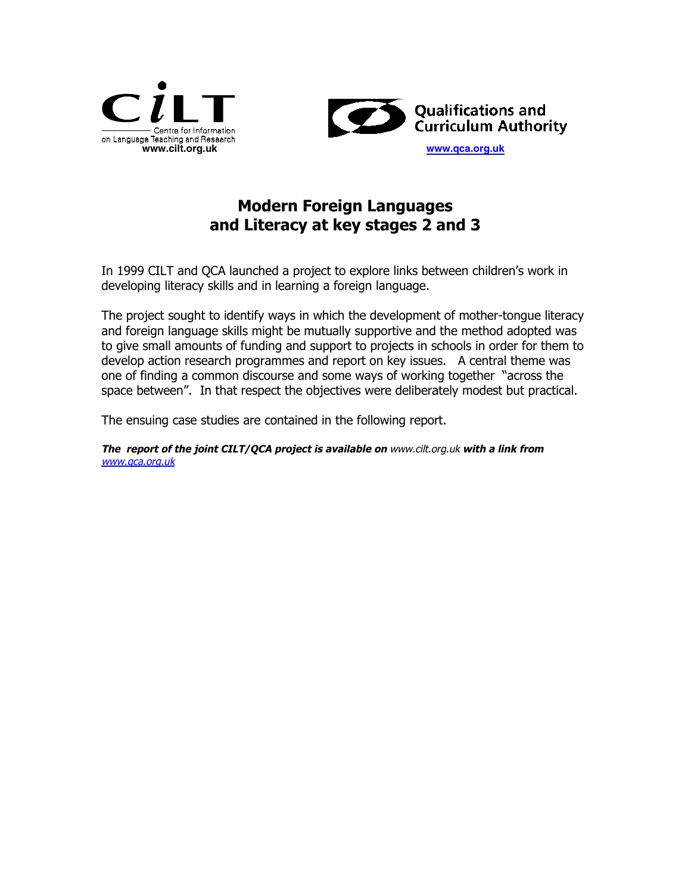



## **Modern Foreign Languages and Literacy at key stages 2 and 3**

In 1999 CILT and QCA launched a project to explore links between children's work in developing literacy skills and in learning a foreign language.

The project sought to identify ways in which the development of mother-tongue literacy and foreign language skills might be mutually supportive and the method adopted was to give small amounts of funding and support to projects in schools in order for them to develop action research programmes and report on key issues. A central theme was one of finding a common discourse and some ways of working together "across the space between". In that respect the objectives were deliberately modest but practical.

The ensuing case studies are contained in the following report.

**The report of the joint CILT/QCA project is available on** www.cilt.org.uk **with a link from** www.qca.org.uk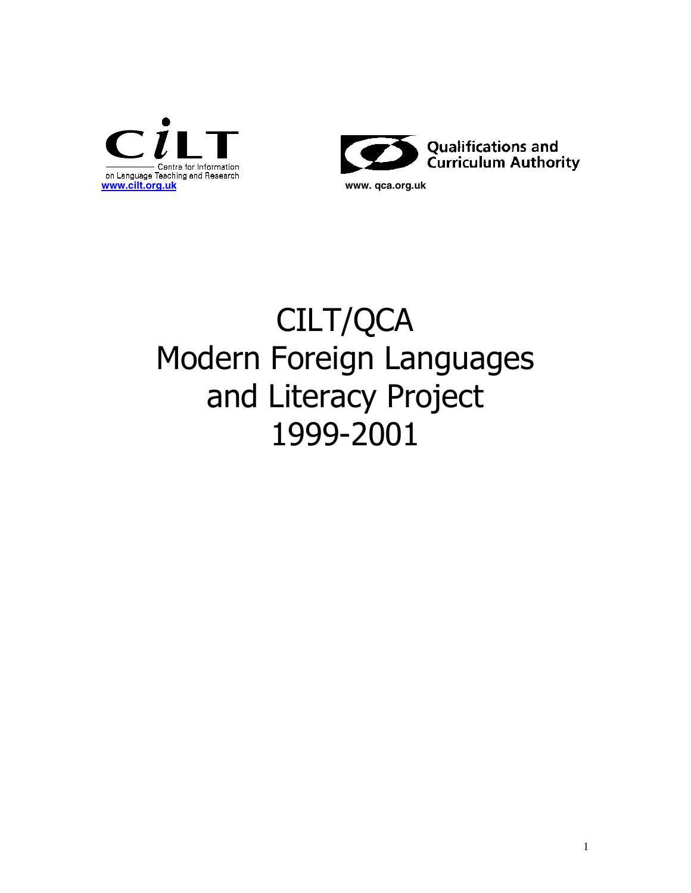



# CILT/QCA Modern Foreign Languages and Literacy Project 1999-2001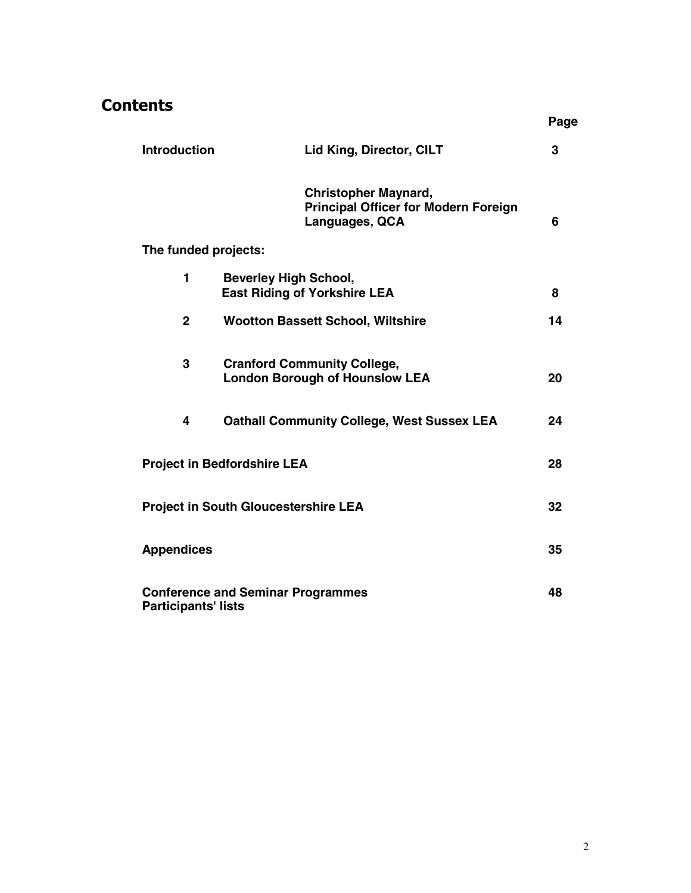## **Contents**

|                            |                                                                             |                                             | Page |
|----------------------------|-----------------------------------------------------------------------------|---------------------------------------------|------|
| <b>Introduction</b>        | Lid King, Director, CILT                                                    |                                             | 3    |
|                            | <b>Christopher Maynard,</b><br>Languages, QCA                               | <b>Principal Officer for Modern Foreign</b> | 6    |
| The funded projects:       |                                                                             |                                             |      |
| 1                          | <b>Beverley High School,</b><br><b>East Riding of Yorkshire LEA</b>         |                                             | 8    |
| $\mathbf{2}$               | <b>Wootton Bassett School, Wiltshire</b>                                    |                                             | 14   |
| 3                          | <b>Cranford Community College,</b><br><b>London Borough of Hounslow LEA</b> |                                             | 20   |
| 4                          | <b>Oathall Community College, West Sussex LEA</b>                           |                                             | 24   |
|                            | <b>Project in Bedfordshire LEA</b>                                          |                                             | 28   |
|                            | <b>Project in South Gloucestershire LEA</b>                                 |                                             | 32   |
| <b>Appendices</b>          |                                                                             |                                             | 35   |
| <b>Participants' lists</b> | <b>Conference and Seminar Programmes</b>                                    |                                             | 48   |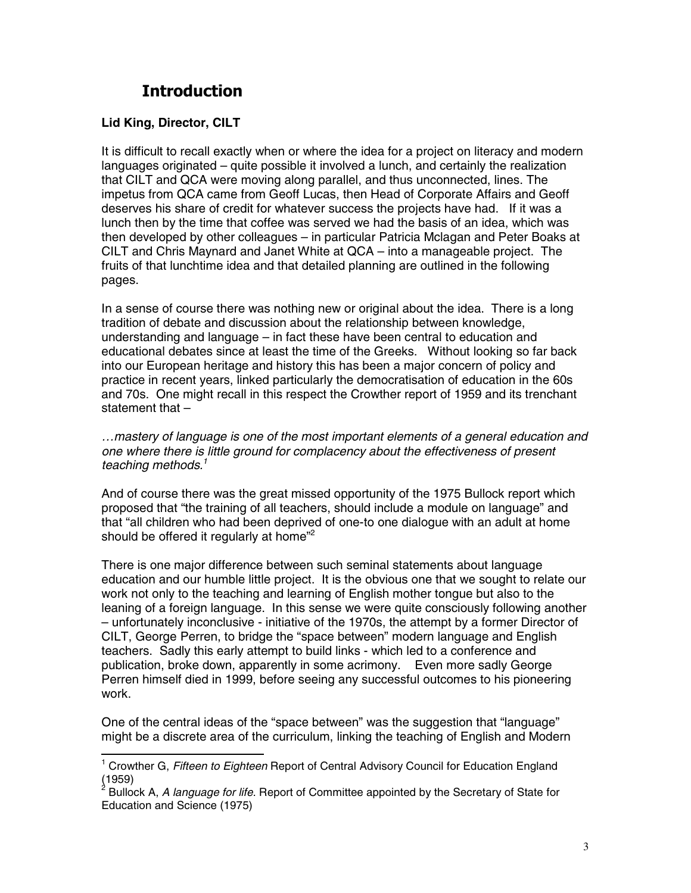## **Introduction**

#### **Lid King, Director, CILT**

It is difficult to recall exactly when or where the idea for a project on literacy and modern languages originated – quite possible it involved a lunch, and certainly the realization that CILT and QCA were moving along parallel, and thus unconnected, lines. The impetus from QCA came from Geoff Lucas, then Head of Corporate Affairs and Geoff deserves his share of credit for whatever success the projects have had. If it was a lunch then by the time that coffee was served we had the basis of an idea, which was then developed by other colleagues – in particular Patricia Mclagan and Peter Boaks at CILT and Chris Maynard and Janet White at QCA – into a manageable project. The fruits of that lunchtime idea and that detailed planning are outlined in the following pages.

In a sense of course there was nothing new or original about the idea. There is a long tradition of debate and discussion about the relationship between knowledge, understanding and language – in fact these have been central to education and educational debates since at least the time of the Greeks. Without looking so far back into our European heritage and history this has been a major concern of policy and practice in recent years, linked particularly the democratisation of education in the 60s and 70s. One might recall in this respect the Crowther report of 1959 and its trenchant statement that –

*…mastery of language is one of the most important elements of a general education and one where there is little ground for complacency about the effectiveness of present teaching methods.1*

And of course there was the great missed opportunity of the 1975 Bullock report which proposed that "the training of all teachers, should include a module on language" and that "all children who had been deprived of one-to one dialogue with an adult at home should be offered it regularly at home<sup>"2</sup>

There is one major difference between such seminal statements about language education and our humble little project. It is the obvious one that we sought to relate our work not only to the teaching and learning of English mother tongue but also to the leaning of a foreign language. In this sense we were quite consciously following another – unfortunately inconclusive - initiative of the 1970s, the attempt by a former Director of CILT, George Perren, to bridge the "space between" modern language and English teachers. Sadly this early attempt to build links - which led to a conference and publication, broke down, apparently in some acrimony. Even more sadly George Perren himself died in 1999, before seeing any successful outcomes to his pioneering work.

One of the central ideas of the "space between" was the suggestion that "language" might be a discrete area of the curriculum, linking the teaching of English and Modern

 1 Crowther G, *Fifteen to Eighteen* Report of Central Advisory Council for Education England (1959)<br><sup>2</sup> בוניים

Bullock A, *A language for life*. Report of Committee appointed by the Secretary of State for Education and Science (1975)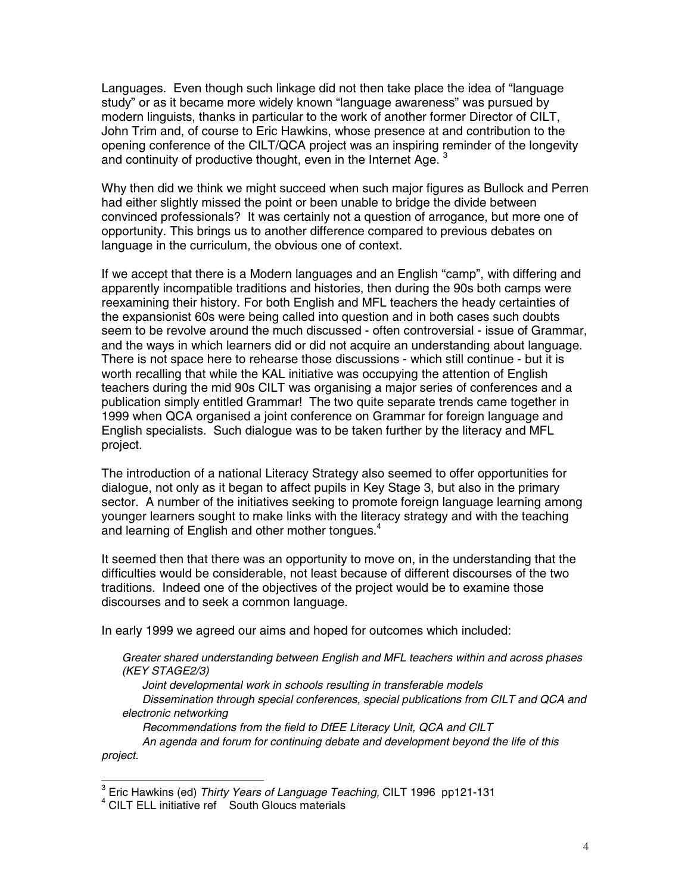Languages. Even though such linkage did not then take place the idea of "language study" or as it became more widely known "language awareness" was pursued by modern linguists, thanks in particular to the work of another former Director of CILT, John Trim and, of course to Eric Hawkins, whose presence at and contribution to the opening conference of the CILT/QCA project was an inspiring reminder of the longevity and continuity of productive thought, even in the Internet Age.  $3$ 

Why then did we think we might succeed when such major figures as Bullock and Perren had either slightly missed the point or been unable to bridge the divide between convinced professionals? It was certainly not a question of arrogance, but more one of opportunity. This brings us to another difference compared to previous debates on language in the curriculum, the obvious one of context.

If we accept that there is a Modern languages and an English "camp", with differing and apparently incompatible traditions and histories, then during the 90s both camps were reexamining their history. For both English and MFL teachers the heady certainties of the expansionist 60s were being called into question and in both cases such doubts seem to be revolve around the much discussed - often controversial - issue of Grammar, and the ways in which learners did or did not acquire an understanding about language. There is not space here to rehearse those discussions - which still continue - but it is worth recalling that while the KAL initiative was occupying the attention of English teachers during the mid 90s CILT was organising a major series of conferences and a publication simply entitled Grammar! The two quite separate trends came together in 1999 when QCA organised a joint conference on Grammar for foreign language and English specialists. Such dialogue was to be taken further by the literacy and MFL project.

The introduction of a national Literacy Strategy also seemed to offer opportunities for dialogue, not only as it began to affect pupils in Key Stage 3, but also in the primary sector. A number of the initiatives seeking to promote foreign language learning among younger learners sought to make links with the literacy strategy and with the teaching and learning of English and other mother tongues.<sup>4</sup>

It seemed then that there was an opportunity to move on, in the understanding that the difficulties would be considerable, not least because of different discourses of the two traditions. Indeed one of the objectives of the project would be to examine those discourses and to seek a common language.

In early 1999 we agreed our aims and hoped for outcomes which included:

*Greater shared understanding between English and MFL teachers within and across phases (KEY STAGE2/3)*

*Joint developmental work in schools resulting in transferable models Dissemination through special conferences, special publications from CILT and QCA and electronic networking*

*Recommendations from the field to DfEE Literacy Unit, QCA and CILT An agenda and forum for continuing debate and development beyond the life of this project.*

<sup>&</sup>lt;sup>3</sup> Eric Hawkins (ed) *Thirty Years of Language Teaching,* CILT 1996 pp121-131

<sup>&</sup>lt;sup>4</sup> CILT ELL initiative ref South Gloucs materials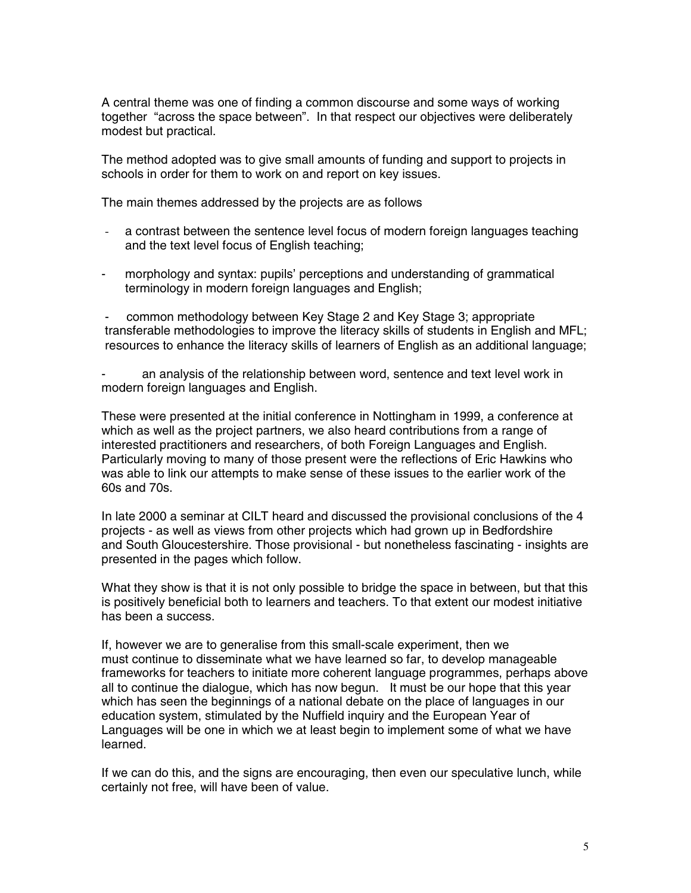A central theme was one of finding a common discourse and some ways of working together "across the space between". In that respect our objectives were deliberately modest but practical.

The method adopted was to give small amounts of funding and support to projects in schools in order for them to work on and report on key issues.

The main themes addressed by the projects are as follows

- a contrast between the sentence level focus of modern foreign languages teaching and the text level focus of English teaching;
- morphology and syntax: pupils' perceptions and understanding of grammatical terminology in modern foreign languages and English;

common methodology between Key Stage 2 and Key Stage 3; appropriate transferable methodologies to improve the literacy skills of students in English and MFL; resources to enhance the literacy skills of learners of English as an additional language;

an analysis of the relationship between word, sentence and text level work in modern foreign languages and English.

These were presented at the initial conference in Nottingham in 1999, a conference at which as well as the project partners, we also heard contributions from a range of interested practitioners and researchers, of both Foreign Languages and English. Particularly moving to many of those present were the reflections of Eric Hawkins who was able to link our attempts to make sense of these issues to the earlier work of the 60s and 70s.

In late 2000 a seminar at CILT heard and discussed the provisional conclusions of the 4 projects - as well as views from other projects which had grown up in Bedfordshire and South Gloucestershire. Those provisional - but nonetheless fascinating - insights are presented in the pages which follow.

What they show is that it is not only possible to bridge the space in between, but that this is positively beneficial both to learners and teachers. To that extent our modest initiative has been a success.

If, however we are to generalise from this small-scale experiment, then we must continue to disseminate what we have learned so far, to develop manageable frameworks for teachers to initiate more coherent language programmes, perhaps above all to continue the dialogue, which has now begun. It must be our hope that this year which has seen the beginnings of a national debate on the place of languages in our education system, stimulated by the Nuffield inquiry and the European Year of Languages will be one in which we at least begin to implement some of what we have learned.

If we can do this, and the signs are encouraging, then even our speculative lunch, while certainly not free, will have been of value.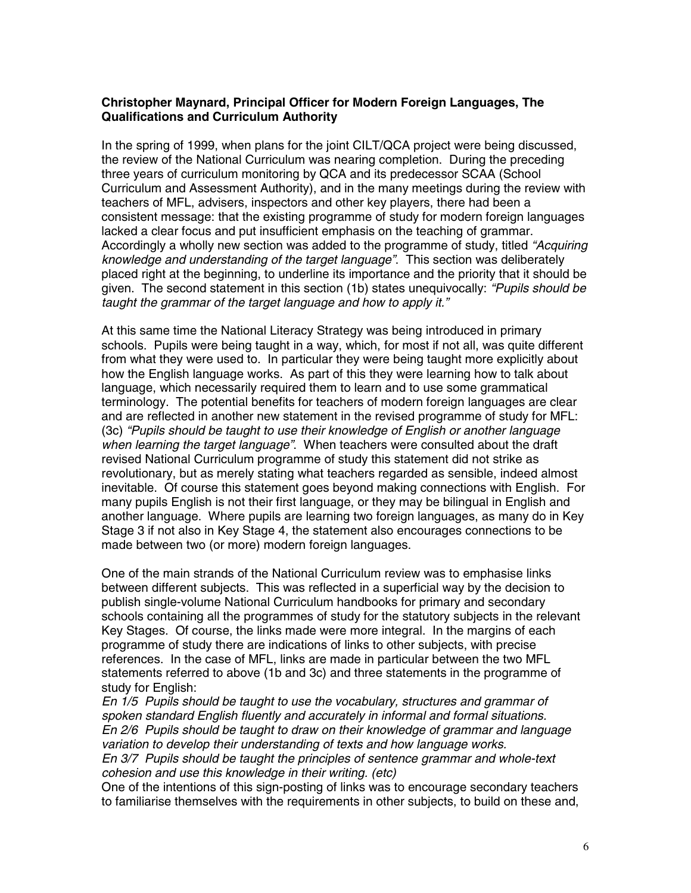#### **Christopher Maynard, Principal Officer for Modern Foreign Languages, The Qualifications and Curriculum Authority**

In the spring of 1999, when plans for the joint CILT/QCA project were being discussed, the review of the National Curriculum was nearing completion. During the preceding three years of curriculum monitoring by QCA and its predecessor SCAA (School Curriculum and Assessment Authority), and in the many meetings during the review with teachers of MFL, advisers, inspectors and other key players, there had been a consistent message: that the existing programme of study for modern foreign languages lacked a clear focus and put insufficient emphasis on the teaching of grammar. Accordingly a wholly new section was added to the programme of study, titled *"Acquiring knowledge and understanding of the target language"*. This section was deliberately placed right at the beginning, to underline its importance and the priority that it should be given. The second statement in this section (1b) states unequivocally: *"Pupils should be taught the grammar of the target language and how to apply it."*

At this same time the National Literacy Strategy was being introduced in primary schools. Pupils were being taught in a way, which, for most if not all, was quite different from what they were used to. In particular they were being taught more explicitly about how the English language works. As part of this they were learning how to talk about language, which necessarily required them to learn and to use some grammatical terminology. The potential benefits for teachers of modern foreign languages are clear and are reflected in another new statement in the revised programme of study for MFL: (3c) *"Pupils should be taught to use their knowledge of English or another language when learning the target language"*. When teachers were consulted about the draft revised National Curriculum programme of study this statement did not strike as revolutionary, but as merely stating what teachers regarded as sensible, indeed almost inevitable. Of course this statement goes beyond making connections with English. For many pupils English is not their first language, or they may be bilingual in English and another language. Where pupils are learning two foreign languages, as many do in Key Stage 3 if not also in Key Stage 4, the statement also encourages connections to be made between two (or more) modern foreign languages.

One of the main strands of the National Curriculum review was to emphasise links between different subjects. This was reflected in a superficial way by the decision to publish single-volume National Curriculum handbooks for primary and secondary schools containing all the programmes of study for the statutory subjects in the relevant Key Stages. Of course, the links made were more integral. In the margins of each programme of study there are indications of links to other subjects, with precise references. In the case of MFL, links are made in particular between the two MFL statements referred to above (1b and 3c) and three statements in the programme of study for English:

*En 1/5 Pupils should be taught to use the vocabulary, structures and grammar of spoken standard English fluently and accurately in informal and formal situations. En 2/6 Pupils should be taught to draw on their knowledge of grammar and language variation to develop their understanding of texts and how language works. En 3/7 Pupils should be taught the principles of sentence grammar and whole-text cohesion and use this knowledge in their writing. (etc)*

One of the intentions of this sign-posting of links was to encourage secondary teachers to familiarise themselves with the requirements in other subjects, to build on these and,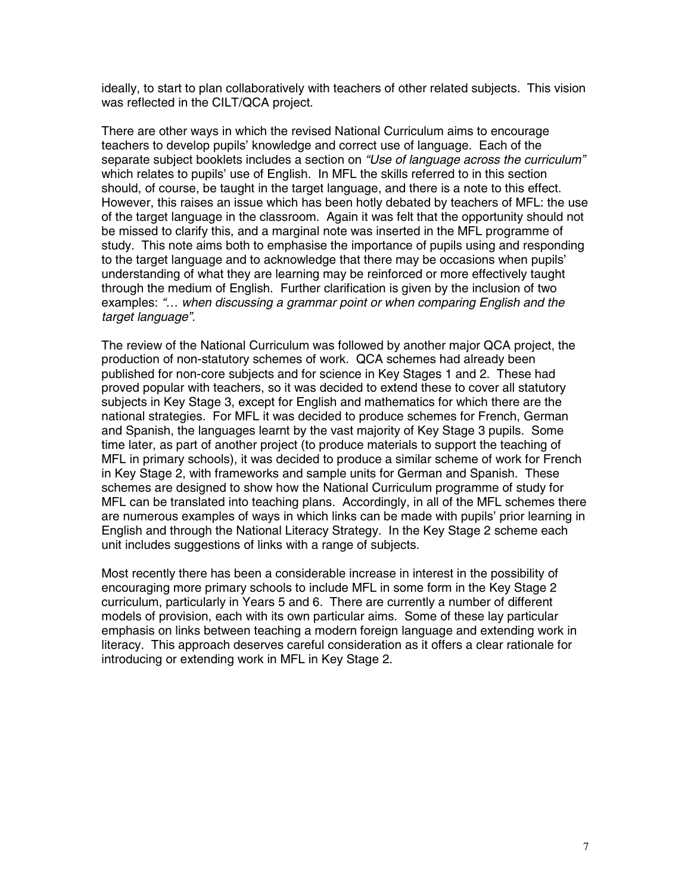ideally, to start to plan collaboratively with teachers of other related subjects. This vision was reflected in the CILT/QCA project.

There are other ways in which the revised National Curriculum aims to encourage teachers to develop pupils' knowledge and correct use of language. Each of the separate subject booklets includes a section on *"Use of language across the curriculum"* which relates to pupils' use of English. In MFL the skills referred to in this section should, of course, be taught in the target language, and there is a note to this effect. However, this raises an issue which has been hotly debated by teachers of MFL: the use of the target language in the classroom. Again it was felt that the opportunity should not be missed to clarify this, and a marginal note was inserted in the MFL programme of study. This note aims both to emphasise the importance of pupils using and responding to the target language and to acknowledge that there may be occasions when pupils' understanding of what they are learning may be reinforced or more effectively taught through the medium of English. Further clarification is given by the inclusion of two examples: *"… when discussing a grammar point or when comparing English and the target language".*

The review of the National Curriculum was followed by another major QCA project, the production of non-statutory schemes of work. QCA schemes had already been published for non-core subjects and for science in Key Stages 1 and 2. These had proved popular with teachers, so it was decided to extend these to cover all statutory subjects in Key Stage 3, except for English and mathematics for which there are the national strategies. For MFL it was decided to produce schemes for French, German and Spanish, the languages learnt by the vast majority of Key Stage 3 pupils. Some time later, as part of another project (to produce materials to support the teaching of MFL in primary schools), it was decided to produce a similar scheme of work for French in Key Stage 2, with frameworks and sample units for German and Spanish. These schemes are designed to show how the National Curriculum programme of study for MFL can be translated into teaching plans. Accordingly, in all of the MFL schemes there are numerous examples of ways in which links can be made with pupils' prior learning in English and through the National Literacy Strategy. In the Key Stage 2 scheme each unit includes suggestions of links with a range of subjects.

Most recently there has been a considerable increase in interest in the possibility of encouraging more primary schools to include MFL in some form in the Key Stage 2 curriculum, particularly in Years 5 and 6. There are currently a number of different models of provision, each with its own particular aims. Some of these lay particular emphasis on links between teaching a modern foreign language and extending work in literacy. This approach deserves careful consideration as it offers a clear rationale for introducing or extending work in MFL in Key Stage 2.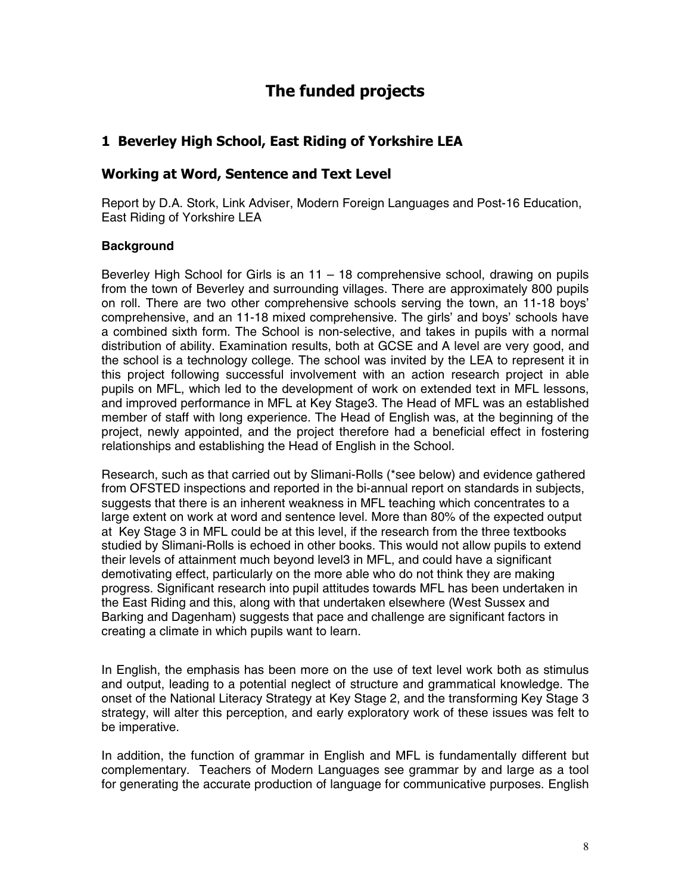## **The funded projects**

## **1 Beverley High School, East Riding of Yorkshire LEA**

### **Working at Word, Sentence and Text Level**

Report by D.A. Stork, Link Adviser, Modern Foreign Languages and Post-16 Education, East Riding of Yorkshire LEA

#### **Background**

Beverley High School for Girls is an 11 – 18 comprehensive school, drawing on pupils from the town of Beverley and surrounding villages. There are approximately 800 pupils on roll. There are two other comprehensive schools serving the town, an 11-18 boys' comprehensive, and an 11-18 mixed comprehensive. The girls' and boys' schools have a combined sixth form. The School is non-selective, and takes in pupils with a normal distribution of ability. Examination results, both at GCSE and A level are very good, and the school is a technology college. The school was invited by the LEA to represent it in this project following successful involvement with an action research project in able pupils on MFL, which led to the development of work on extended text in MFL lessons, and improved performance in MFL at Key Stage3. The Head of MFL was an established member of staff with long experience. The Head of English was, at the beginning of the project, newly appointed, and the project therefore had a beneficial effect in fostering relationships and establishing the Head of English in the School.

Research, such as that carried out by Slimani-Rolls (\*see below) and evidence gathered from OFSTED inspections and reported in the bi-annual report on standards in subjects, suggests that there is an inherent weakness in MFL teaching which concentrates to a large extent on work at word and sentence level. More than 80% of the expected output at Key Stage 3 in MFL could be at this level, if the research from the three textbooks studied by Slimani-Rolls is echoed in other books. This would not allow pupils to extend their levels of attainment much beyond level3 in MFL, and could have a significant demotivating effect, particularly on the more able who do not think they are making progress. Significant research into pupil attitudes towards MFL has been undertaken in the East Riding and this, along with that undertaken elsewhere (West Sussex and Barking and Dagenham) suggests that pace and challenge are significant factors in creating a climate in which pupils want to learn.

In English, the emphasis has been more on the use of text level work both as stimulus and output, leading to a potential neglect of structure and grammatical knowledge. The onset of the National Literacy Strategy at Key Stage 2, and the transforming Key Stage 3 strategy, will alter this perception, and early exploratory work of these issues was felt to be imperative.

In addition, the function of grammar in English and MFL is fundamentally different but complementary. Teachers of Modern Languages see grammar by and large as a tool for generating the accurate production of language for communicative purposes. English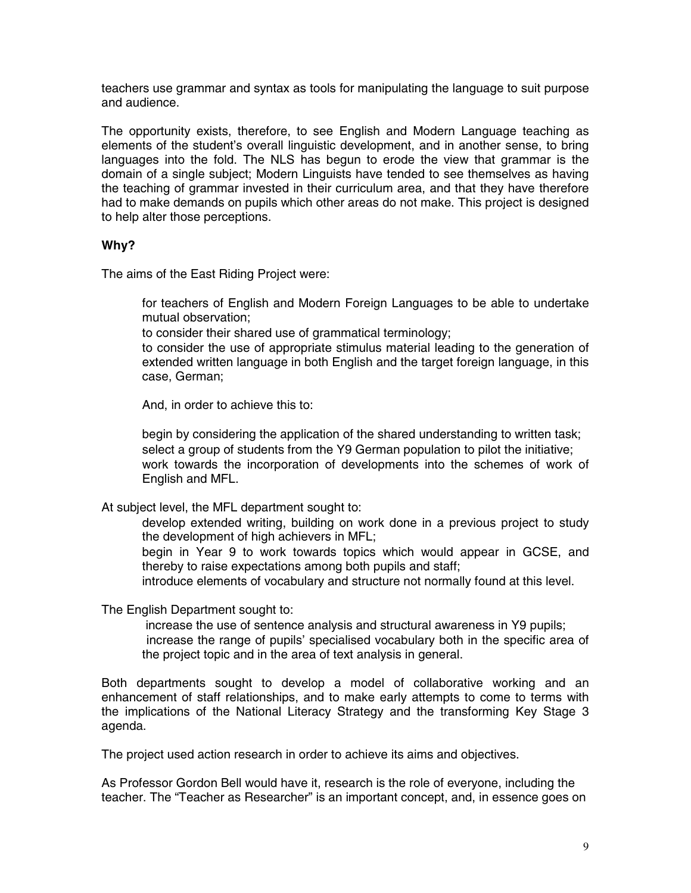teachers use grammar and syntax as tools for manipulating the language to suit purpose and audience.

The opportunity exists, therefore, to see English and Modern Language teaching as elements of the student's overall linguistic development, and in another sense, to bring languages into the fold. The NLS has begun to erode the view that grammar is the domain of a single subject; Modern Linguists have tended to see themselves as having the teaching of grammar invested in their curriculum area, and that they have therefore had to make demands on pupils which other areas do not make. This project is designed to help alter those perceptions.

#### **Why?**

The aims of the East Riding Project were:

 for teachers of English and Modern Foreign Languages to be able to undertake mutual observation;

to consider their shared use of grammatical terminology;

 to consider the use of appropriate stimulus material leading to the generation of extended written language in both English and the target foreign language, in this case, German;

And, in order to achieve this to:

 begin by considering the application of the shared understanding to written task; select a group of students from the Y9 German population to pilot the initiative; work towards the incorporation of developments into the schemes of work of English and MFL.

At subject level, the MFL department sought to:

 develop extended writing, building on work done in a previous project to study the development of high achievers in MFL;

 begin in Year 9 to work towards topics which would appear in GCSE, and thereby to raise expectations among both pupils and staff;

introduce elements of vocabulary and structure not normally found at this level.

The English Department sought to:

 increase the use of sentence analysis and structural awareness in Y9 pupils; increase the range of pupils' specialised vocabulary both in the specific area of the project topic and in the area of text analysis in general.

Both departments sought to develop a model of collaborative working and an enhancement of staff relationships, and to make early attempts to come to terms with the implications of the National Literacy Strategy and the transforming Key Stage 3 agenda.

The project used action research in order to achieve its aims and objectives.

As Professor Gordon Bell would have it, research is the role of everyone, including the teacher. The "Teacher as Researcher" is an important concept, and, in essence goes on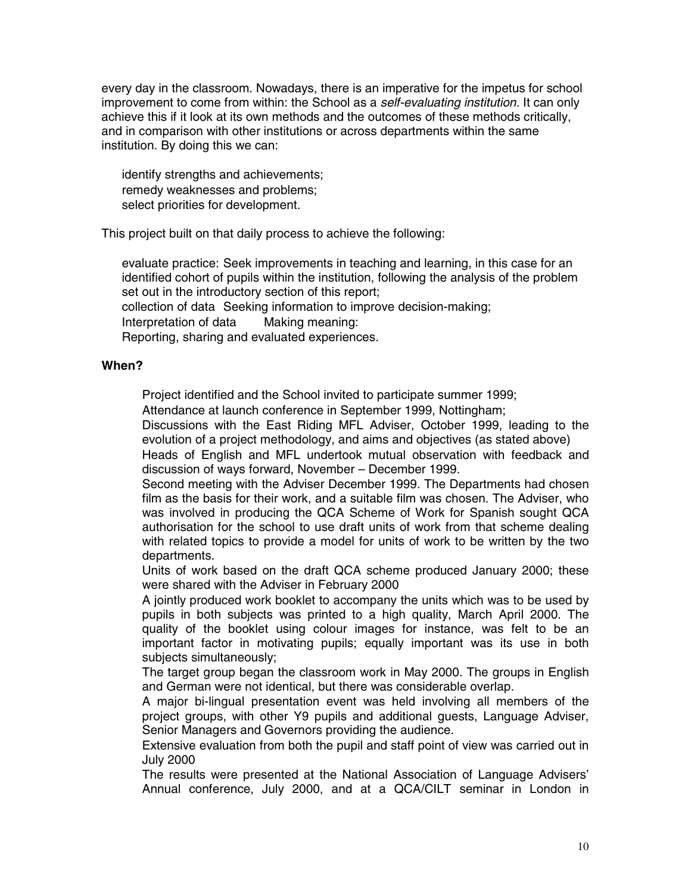every day in the classroom. Nowadays, there is an imperative for the impetus for school improvement to come from within: the School as a *self-evaluating institution.* It can only achieve this if it look at its own methods and the outcomes of these methods critically, and in comparison with other institutions or across departments within the same institution. By doing this we can:

 identify strengths and achievements; remedy weaknesses and problems; select priorities for development.

This project built on that daily process to achieve the following:

 evaluate practice: Seek improvements in teaching and learning, in this case for an identified cohort of pupils within the institution, following the analysis of the problem set out in the introductory section of this report;

collection of data Seeking information to improve decision-making;

Interpretation of data Making meaning:

Reporting, sharing and evaluated experiences.

#### **When?**

Project identified and the School invited to participate summer 1999;

Attendance at launch conference in September 1999, Nottingham;

 Discussions with the East Riding MFL Adviser, October 1999, leading to the evolution of a project methodology, and aims and objectives (as stated above)

 Heads of English and MFL undertook mutual observation with feedback and discussion of ways forward, November – December 1999.

 Second meeting with the Adviser December 1999. The Departments had chosen film as the basis for their work, and a suitable film was chosen. The Adviser, who was involved in producing the QCA Scheme of Work for Spanish sought QCA authorisation for the school to use draft units of work from that scheme dealing with related topics to provide a model for units of work to be written by the two departments.

 Units of work based on the draft QCA scheme produced January 2000; these were shared with the Adviser in February 2000

 A jointly produced work booklet to accompany the units which was to be used by pupils in both subjects was printed to a high quality, March April 2000. The quality of the booklet using colour images for instance, was felt to be an important factor in motivating pupils; equally important was its use in both subjects simultaneously;

 The target group began the classroom work in May 2000. The groups in English and German were not identical, but there was considerable overlap.

 A major bi-lingual presentation event was held involving all members of the project groups, with other Y9 pupils and additional guests, Language Adviser, Senior Managers and Governors providing the audience.

 Extensive evaluation from both the pupil and staff point of view was carried out in July 2000

 The results were presented at the National Association of Language Advisers' Annual conference, July 2000, and at a QCA/CILT seminar in London in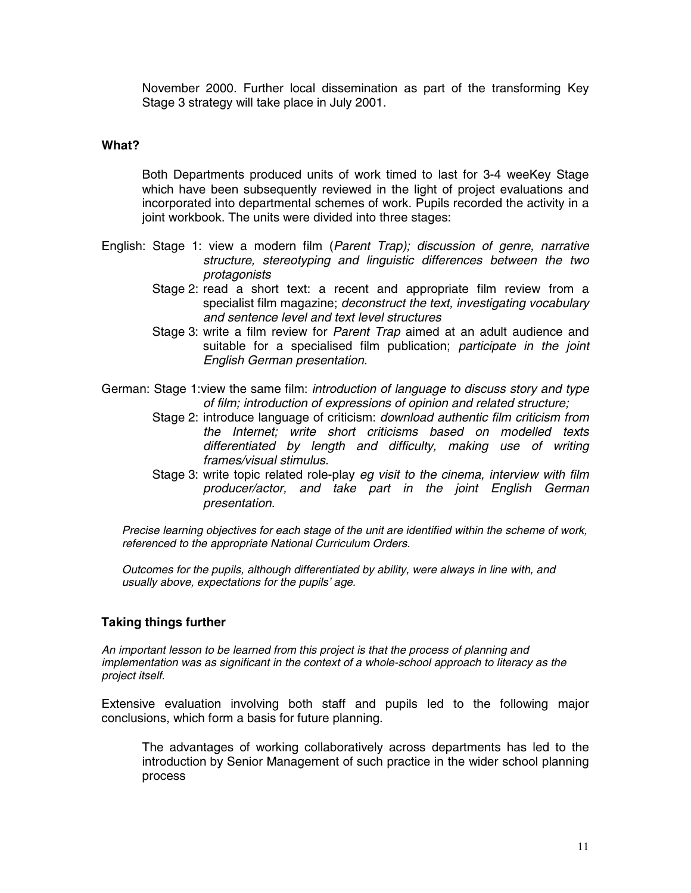November 2000. Further local dissemination as part of the transforming Key Stage 3 strategy will take place in July 2001.

#### **What?**

 Both Departments produced units of work timed to last for 3-4 weeKey Stage which have been subsequently reviewed in the light of project evaluations and incorporated into departmental schemes of work. Pupils recorded the activity in a joint workbook. The units were divided into three stages:

- English: Stage 1: view a modern film (*Parent Trap); discussion of genre, narrative structure, stereotyping and linguistic differences between the two protagonists*
	- Stage 2: read a short text: a recent and appropriate film review from a specialist film magazine; *deconstruct the text, investigating vocabulary and sentence level and text level structures*
	- Stage 3: write a film review for *Parent Trap* aimed at an adult audience and suitable for a specialised film publication; *participate in the joint English German presentation.*
- German: Stage 1:view the same film: *introduction of language to discuss story and type of film; introduction of expressions of opinion and related structure;*
	- Stage 2: introduce language of criticism: *download authentic film criticism from the Internet; write short criticisms based on modelled texts differentiated by length and difficulty, making use of writing frames/visual stimulus.*
	- Stage 3: write topic related role-play *eg visit to the cinema, interview with film producer/actor, and take part in the joint English German presentation.*

*Precise learning objectives for each stage of the unit are identified within the scheme of work, referenced to the appropriate National Curriculum Orders.*

*Outcomes for the pupils, although differentiated by ability, were always in line with, and usually above, expectations for the pupils' age.*

#### **Taking things further**

*An important lesson to be learned from this project is that the process of planning and implementation was as significant in the context of a whole-school approach to literacy as the project itself.*

Extensive evaluation involving both staff and pupils led to the following major conclusions, which form a basis for future planning.

 The advantages of working collaboratively across departments has led to the introduction by Senior Management of such practice in the wider school planning process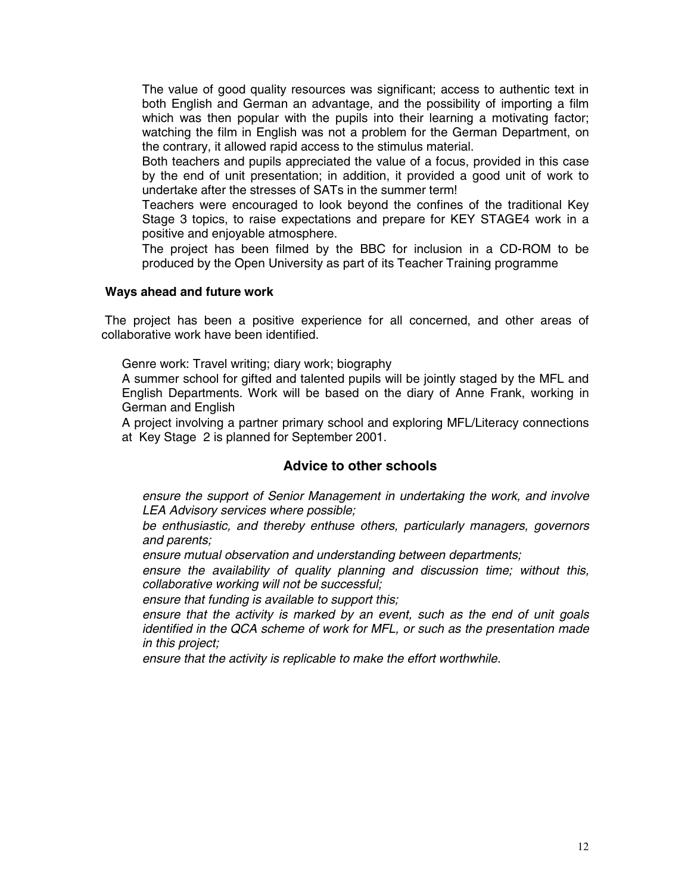The value of good quality resources was significant; access to authentic text in both English and German an advantage, and the possibility of importing a film which was then popular with the pupils into their learning a motivating factor; watching the film in English was not a problem for the German Department, on the contrary, it allowed rapid access to the stimulus material.

 Both teachers and pupils appreciated the value of a focus, provided in this case by the end of unit presentation; in addition, it provided a good unit of work to undertake after the stresses of SATs in the summer term!

 Teachers were encouraged to look beyond the confines of the traditional Key Stage 3 topics, to raise expectations and prepare for KEY STAGE4 work in a positive and enjoyable atmosphere.

 The project has been filmed by the BBC for inclusion in a CD-ROM to be produced by the Open University as part of its Teacher Training programme

#### **Ways ahead and future work**

 The project has been a positive experience for all concerned, and other areas of collaborative work have been identified.

Genre work: Travel writing; diary work; biography

 A summer school for gifted and talented pupils will be jointly staged by the MFL and English Departments. Work will be based on the diary of Anne Frank, working in German and English

 A project involving a partner primary school and exploring MFL/Literacy connections at Key Stage 2 is planned for September 2001.

#### **Advice to other schools**

*ensure the support of Senior Management in undertaking the work, and involve LEA Advisory services where possible;*

*be enthusiastic, and thereby enthuse others, particularly managers, governors and parents;*

*ensure mutual observation and understanding between departments;*

*ensure the availability of quality planning and discussion time; without this, collaborative working will not be successful;*

*ensure that funding is available to support this;*

*ensure that the activity is marked by an event, such as the end of unit goals identified in the QCA scheme of work for MFL, or such as the presentation made in this project;*

*ensure that the activity is replicable to make the effort worthwhile.*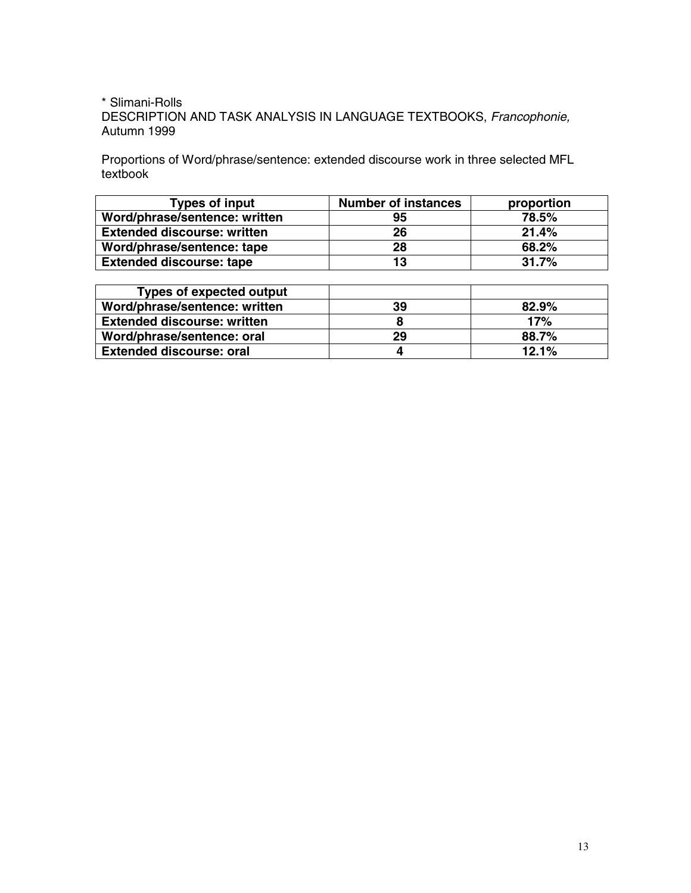#### \* Slimani-Rolls DESCRIPTION AND TASK ANALYSIS IN LANGUAGE TEXTBOOKS, *Francophonie,* Autumn 1999

Proportions of Word/phrase/sentence: extended discourse work in three selected MFL textbook

| <b>Types of input</b>              | <b>Number of instances</b> | proportion |
|------------------------------------|----------------------------|------------|
| Word/phrase/sentence: written      | 95                         | 78.5%      |
| <b>Extended discourse: written</b> | 26                         | 21.4%      |
| Word/phrase/sentence: tape         | 28                         | 68.2%      |
| <b>Extended discourse: tape</b>    | 13                         | 31.7%      |

| <b>Types of expected output</b>    |    |       |
|------------------------------------|----|-------|
| Word/phrase/sentence: written      | 39 | 82.9% |
| <b>Extended discourse: written</b> |    | 17%   |
| Word/phrase/sentence: oral         | 29 | 88.7% |
| <b>Extended discourse: oral</b>    |    | 12.1% |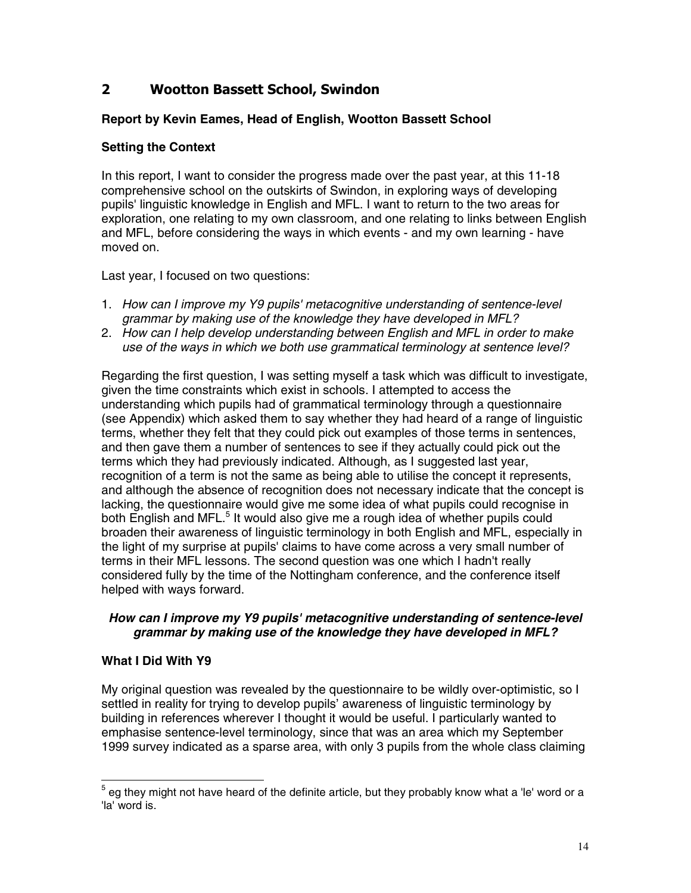## **2 Wootton Bassett School, Swindon**

#### **Report by Kevin Eames, Head of English, Wootton Bassett School**

#### **Setting the Context**

In this report, I want to consider the progress made over the past year, at this 11-18 comprehensive school on the outskirts of Swindon, in exploring ways of developing pupils' linguistic knowledge in English and MFL. I want to return to the two areas for exploration, one relating to my own classroom, and one relating to links between English and MFL, before considering the ways in which events - and my own learning - have moved on.

Last year, I focused on two questions:

- 1. *How can I improve my Y9 pupils' metacognitive understanding of sentence-level grammar by making use of the knowledge they have developed in MFL?*
- 2. *How can I help develop understanding between English and MFL in order to make use of the ways in which we both use grammatical terminology at sentence level?*

Regarding the first question, I was setting myself a task which was difficult to investigate, given the time constraints which exist in schools. I attempted to access the understanding which pupils had of grammatical terminology through a questionnaire (see Appendix) which asked them to say whether they had heard of a range of linguistic terms, whether they felt that they could pick out examples of those terms in sentences, and then gave them a number of sentences to see if they actually could pick out the terms which they had previously indicated. Although, as I suggested last year, recognition of a term is not the same as being able to utilise the concept it represents, and although the absence of recognition does not necessary indicate that the concept is lacking, the questionnaire would give me some idea of what pupils could recognise in both English and MFL.<sup>5</sup> It would also give me a rough idea of whether pupils could broaden their awareness of linguistic terminology in both English and MFL, especially in the light of my surprise at pupils' claims to have come across a very small number of terms in their MFL lessons. The second question was one which I hadn't really considered fully by the time of the Nottingham conference, and the conference itself helped with ways forward.

#### *How can I improve my Y9 pupils' metacognitive understanding of sentence-level grammar by making use of the knowledge they have developed in MFL?*

#### **What I Did With Y9**

My original question was revealed by the questionnaire to be wildly over-optimistic, so I settled in reality for trying to develop pupils' awareness of linguistic terminology by building in references wherever I thought it would be useful. I particularly wanted to emphasise sentence-level terminology, since that was an area which my September 1999 survey indicated as a sparse area, with only 3 pupils from the whole class claiming

 $\overline{a}$  $^5$  eg they might not have heard of the definite article, but they probably know what a 'le' word or a 'la' word is.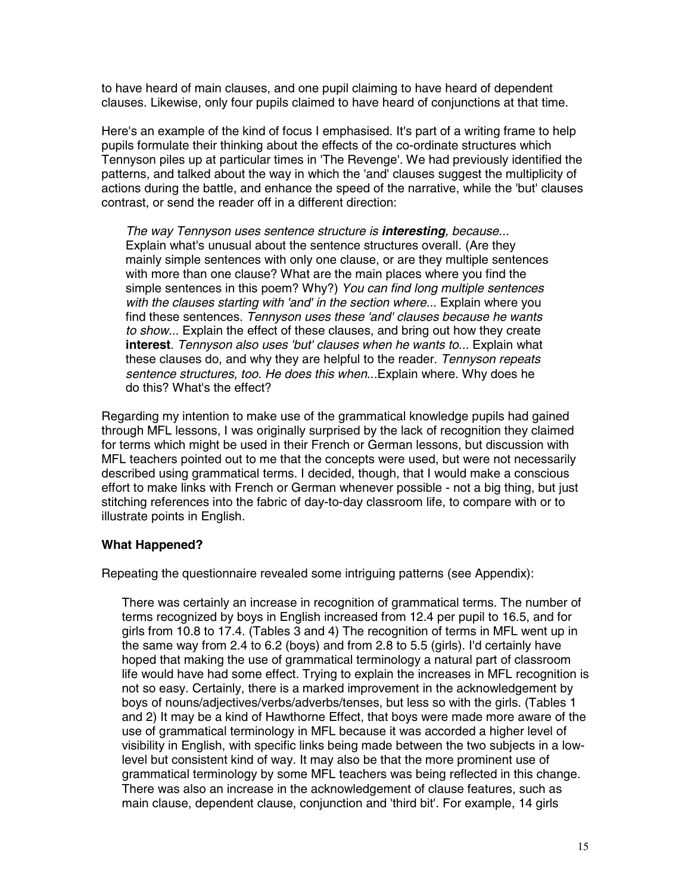to have heard of main clauses, and one pupil claiming to have heard of dependent clauses. Likewise, only four pupils claimed to have heard of conjunctions at that time.

Here's an example of the kind of focus I emphasised. It's part of a writing frame to help pupils formulate their thinking about the effects of the co-ordinate structures which Tennyson piles up at particular times in 'The Revenge'. We had previously identified the patterns, and talked about the way in which the 'and' clauses suggest the multiplicity of actions during the battle, and enhance the speed of the narrative, while the 'but' clauses contrast, or send the reader off in a different direction:

*The way Tennyson uses sentence structure is interesting, because...* Explain what's unusual about the sentence structures overall. (Are they mainly simple sentences with only one clause, or are they multiple sentences with more than one clause? What are the main places where you find the simple sentences in this poem? Why?) *You can find long multiple sentences* with the clauses starting with 'and' in the section where... Explain where you find these sentences. *Tennyson uses these 'and' clauses because he wants to show...* Explain the effect of these clauses, and bring out how they create **interest**. *Tennyson also uses 'but' clauses when he wants to...* Explain what these clauses do, and why they are helpful to the reader. *Tennyson repeats sentence structures, too. He does this when...*Explain where. Why does he do this? What's the effect?

Regarding my intention to make use of the grammatical knowledge pupils had gained through MFL lessons, I was originally surprised by the lack of recognition they claimed for terms which might be used in their French or German lessons, but discussion with MFL teachers pointed out to me that the concepts were used, but were not necessarily described using grammatical terms. I decided, though, that I would make a conscious effort to make links with French or German whenever possible - not a big thing, but just stitching references into the fabric of day-to-day classroom life, to compare with or to illustrate points in English.

#### **What Happened?**

Repeating the questionnaire revealed some intriguing patterns (see Appendix):

 There was certainly an increase in recognition of grammatical terms. The number of terms recognized by boys in English increased from 12.4 per pupil to 16.5, and for girls from 10.8 to 17.4. (Tables 3 and 4) The recognition of terms in MFL went up in the same way from 2.4 to 6.2 (boys) and from 2.8 to 5.5 (girls). I'd certainly have hoped that making the use of grammatical terminology a natural part of classroom life would have had some effect. Trying to explain the increases in MFL recognition is not so easy. Certainly, there is a marked improvement in the acknowledgement by boys of nouns/adjectives/verbs/adverbs/tenses, but less so with the girls. (Tables 1 and 2) It may be a kind of Hawthorne Effect, that boys were made more aware of the use of grammatical terminology in MFL because it was accorded a higher level of visibility in English, with specific links being made between the two subjects in a lowlevel but consistent kind of way. It may also be that the more prominent use of grammatical terminology by some MFL teachers was being reflected in this change. There was also an increase in the acknowledgement of clause features, such as main clause, dependent clause, conjunction and 'third bit'. For example, 14 girls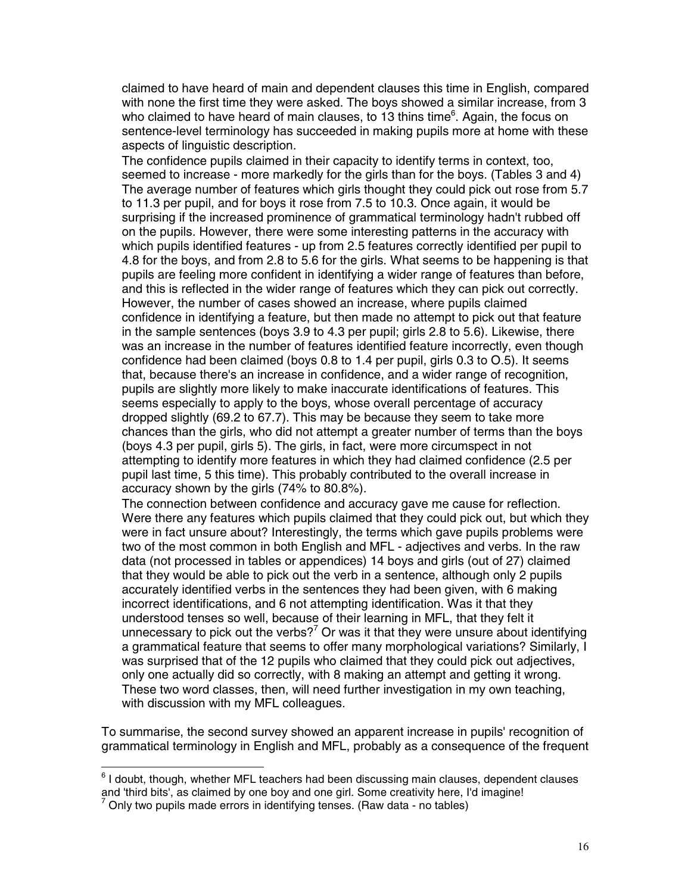claimed to have heard of main and dependent clauses this time in English, compared with none the first time they were asked. The boys showed a similar increase, from 3 who claimed to have heard of main clauses, to 13 thins time<sup>6</sup>. Again, the focus on sentence-level terminology has succeeded in making pupils more at home with these aspects of linguistic description.

 The confidence pupils claimed in their capacity to identify terms in context, too, seemed to increase - more markedly for the girls than for the boys. (Tables 3 and 4) The average number of features which girls thought they could pick out rose from 5.7 to 11.3 per pupil, and for boys it rose from 7.5 to 10.3. Once again, it would be surprising if the increased prominence of grammatical terminology hadn't rubbed off on the pupils. However, there were some interesting patterns in the accuracy with which pupils identified features - up from 2.5 features correctly identified per pupil to 4.8 for the boys, and from 2.8 to 5.6 for the girls. What seems to be happening is that pupils are feeling more confident in identifying a wider range of features than before, and this is reflected in the wider range of features which they can pick out correctly. However, the number of cases showed an increase, where pupils claimed confidence in identifying a feature, but then made no attempt to pick out that feature in the sample sentences (boys 3.9 to 4.3 per pupil; girls 2.8 to 5.6). Likewise, there was an increase in the number of features identified feature incorrectly, even though confidence had been claimed (boys 0.8 to 1.4 per pupil, girls 0.3 to O.5). It seems that, because there's an increase in confidence, and a wider range of recognition, pupils are slightly more likely to make inaccurate identifications of features. This seems especially to apply to the boys, whose overall percentage of accuracy dropped slightly (69.2 to 67.7). This may be because they seem to take more chances than the girls, who did not attempt a greater number of terms than the boys (boys 4.3 per pupil, girls 5). The girls, in fact, were more circumspect in not attempting to identify more features in which they had claimed confidence (2.5 per pupil last time, 5 this time). This probably contributed to the overall increase in accuracy shown by the girls (74% to 80.8%).

 The connection between confidence and accuracy gave me cause for reflection. Were there any features which pupils claimed that they could pick out, but which they were in fact unsure about? Interestingly, the terms which gave pupils problems were two of the most common in both English and MFL - adjectives and verbs. In the raw data (not processed in tables or appendices) 14 boys and girls (out of 27) claimed that they would be able to pick out the verb in a sentence, although only 2 pupils accurately identified verbs in the sentences they had been given, with 6 making incorrect identifications, and 6 not attempting identification. Was it that they understood tenses so well, because of their learning in MFL, that they felt it unnecessary to pick out the verbs?<sup>7</sup> Or was it that they were unsure about identifying a grammatical feature that seems to offer many morphological variations? Similarly, I was surprised that of the 12 pupils who claimed that they could pick out adjectives, only one actually did so correctly, with 8 making an attempt and getting it wrong. These two word classes, then, will need further investigation in my own teaching, with discussion with my MFL colleagues.

To summarise, the second survey showed an apparent increase in pupils' recognition of grammatical terminology in English and MFL, probably as a consequence of the frequent

 6 I doubt, though, whether MFL teachers had been discussing main clauses, dependent clauses and 'third bits', as claimed by one boy and one girl. Some creativity here, I'd imagine! 7

Only two pupils made errors in identifying tenses. (Raw data - no tables)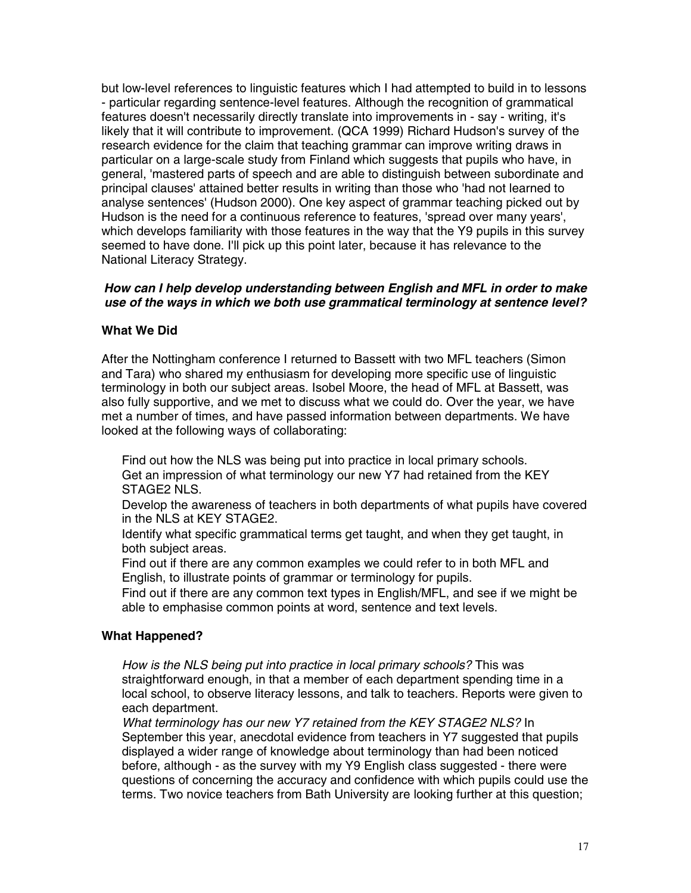but low-level references to linguistic features which I had attempted to build in to lessons - particular regarding sentence-level features. Although the recognition of grammatical features doesn't necessarily directly translate into improvements in - say - writing, it's likely that it will contribute to improvement. (QCA 1999) Richard Hudson's survey of the research evidence for the claim that teaching grammar can improve writing draws in particular on a large-scale study from Finland which suggests that pupils who have, in general, 'mastered parts of speech and are able to distinguish between subordinate and principal clauses' attained better results in writing than those who 'had not learned to analyse sentences' (Hudson 2000). One key aspect of grammar teaching picked out by Hudson is the need for a continuous reference to features, 'spread over many years', which develops familiarity with those features in the way that the Y9 pupils in this survey seemed to have done. I'll pick up this point later, because it has relevance to the National Literacy Strategy.

#### *How can I help develop understanding between English and MFL in order to make use of the ways in which we both use grammatical terminology at sentence level?*

#### **What We Did**

After the Nottingham conference I returned to Bassett with two MFL teachers (Simon and Tara) who shared my enthusiasm for developing more specific use of linguistic terminology in both our subject areas. Isobel Moore, the head of MFL at Bassett, was also fully supportive, and we met to discuss what we could do. Over the year, we have met a number of times, and have passed information between departments. We have looked at the following ways of collaborating:

 Find out how the NLS was being put into practice in local primary schools. Get an impression of what terminology our new Y7 had retained from the KEY STAGE2 NLS.

 Develop the awareness of teachers in both departments of what pupils have covered in the NLS at KEY STAGE2.

 Identify what specific grammatical terms get taught, and when they get taught, in both subject areas.

 Find out if there are any common examples we could refer to in both MFL and English, to illustrate points of grammar or terminology for pupils.

 Find out if there are any common text types in English/MFL, and see if we might be able to emphasise common points at word, sentence and text levels.

#### **What Happened?**

*How is the NLS being put into practice in local primary schools?* This was straightforward enough, in that a member of each department spending time in a local school, to observe literacy lessons, and talk to teachers. Reports were given to each department.

*What terminology has our new Y7 retained from the KEY STAGE2 NLS?* In September this year, anecdotal evidence from teachers in Y7 suggested that pupils displayed a wider range of knowledge about terminology than had been noticed before, although - as the survey with my Y9 English class suggested - there were questions of concerning the accuracy and confidence with which pupils could use the terms. Two novice teachers from Bath University are looking further at this question;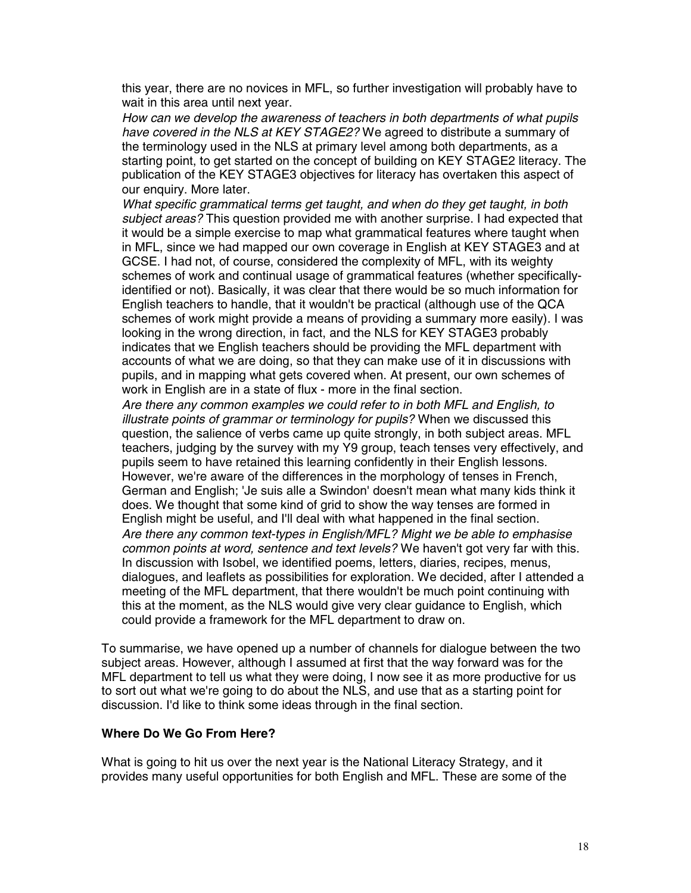this year, there are no novices in MFL, so further investigation will probably have to wait in this area until next year.

*How can we develop the awareness of teachers in both departments of what pupils have covered in the NLS at KEY STAGE2?* We agreed to distribute a summary of the terminology used in the NLS at primary level among both departments, as a starting point, to get started on the concept of building on KEY STAGE2 literacy. The publication of the KEY STAGE3 objectives for literacy has overtaken this aspect of our enquiry. More later.

*What specific grammatical terms get taught, and when do they get taught, in both subject areas?* This question provided me with another surprise. I had expected that it would be a simple exercise to map what grammatical features where taught when in MFL, since we had mapped our own coverage in English at KEY STAGE3 and at GCSE. I had not, of course, considered the complexity of MFL, with its weighty schemes of work and continual usage of grammatical features (whether specificallyidentified or not). Basically, it was clear that there would be so much information for English teachers to handle, that it wouldn't be practical (although use of the QCA schemes of work might provide a means of providing a summary more easily). I was looking in the wrong direction, in fact, and the NLS for KEY STAGE3 probably indicates that we English teachers should be providing the MFL department with accounts of what we are doing, so that they can make use of it in discussions with pupils, and in mapping what gets covered when. At present, our own schemes of work in English are in a state of flux - more in the final section.

*Are there any common examples we could refer to in both MFL and English, to illustrate points of grammar or terminology for pupils?* When we discussed this question, the salience of verbs came up quite strongly, in both subject areas. MFL teachers, judging by the survey with my Y9 group, teach tenses very effectively, and pupils seem to have retained this learning confidently in their English lessons. However, we're aware of the differences in the morphology of tenses in French, German and English; 'Je suis alle a Swindon' doesn't mean what many kids think it does. We thought that some kind of grid to show the way tenses are formed in English might be useful, and I'll deal with what happened in the final section. *Are there any common text-types in English/MFL? Might we be able to emphasise common points at word, sentence and text levels?* We haven't got very far with this. In discussion with Isobel, we identified poems, letters, diaries, recipes, menus, dialogues, and leaflets as possibilities for exploration. We decided, after I attended a meeting of the MFL department, that there wouldn't be much point continuing with this at the moment, as the NLS would give very clear guidance to English, which could provide a framework for the MFL department to draw on.

To summarise, we have opened up a number of channels for dialogue between the two subject areas. However, although I assumed at first that the way forward was for the MFL department to tell us what they were doing, I now see it as more productive for us to sort out what we're going to do about the NLS, and use that as a starting point for discussion. I'd like to think some ideas through in the final section.

#### **Where Do We Go From Here?**

What is going to hit us over the next year is the National Literacy Strategy, and it provides many useful opportunities for both English and MFL. These are some of the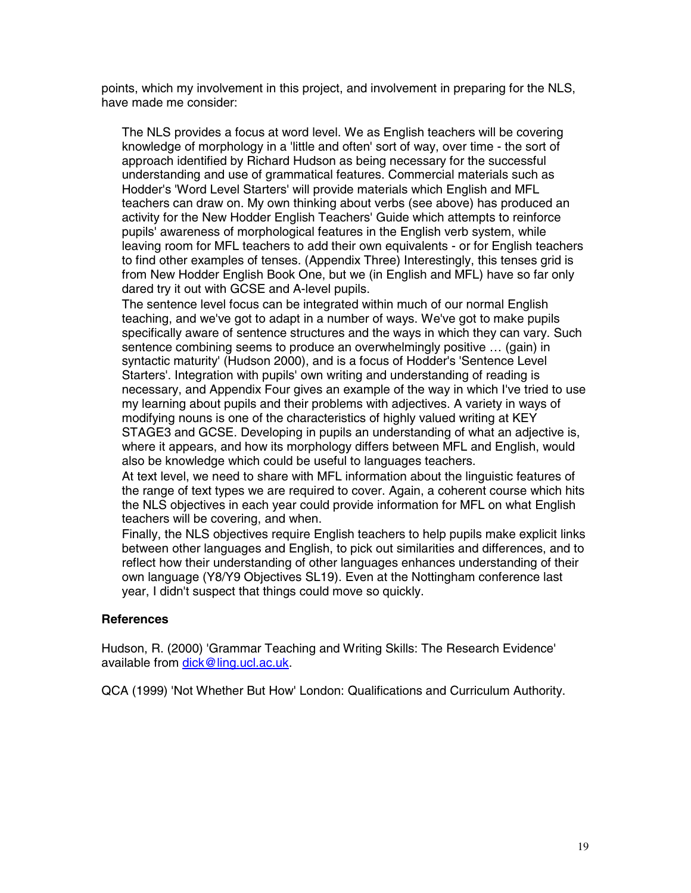points, which my involvement in this project, and involvement in preparing for the NLS, have made me consider:

 The NLS provides a focus at word level. We as English teachers will be covering knowledge of morphology in a 'little and often' sort of way, over time - the sort of approach identified by Richard Hudson as being necessary for the successful understanding and use of grammatical features. Commercial materials such as Hodder's 'Word Level Starters' will provide materials which English and MFL teachers can draw on. My own thinking about verbs (see above) has produced an activity for the New Hodder English Teachers' Guide which attempts to reinforce pupils' awareness of morphological features in the English verb system, while leaving room for MFL teachers to add their own equivalents - or for English teachers to find other examples of tenses. (Appendix Three) Interestingly, this tenses grid is from New Hodder English Book One, but we (in English and MFL) have so far only dared try it out with GCSE and A-level pupils.

 The sentence level focus can be integrated within much of our normal English teaching, and we've got to adapt in a number of ways. We've got to make pupils specifically aware of sentence structures and the ways in which they can vary. Such sentence combining seems to produce an overwhelmingly positive … (gain) in syntactic maturity' (Hudson 2000), and is a focus of Hodder's 'Sentence Level Starters'. Integration with pupils' own writing and understanding of reading is necessary, and Appendix Four gives an example of the way in which I've tried to use my learning about pupils and their problems with adjectives. A variety in ways of modifying nouns is one of the characteristics of highly valued writing at KEY STAGE3 and GCSE. Developing in pupils an understanding of what an adjective is, where it appears, and how its morphology differs between MFL and English, would also be knowledge which could be useful to languages teachers.

 At text level, we need to share with MFL information about the linguistic features of the range of text types we are required to cover. Again, a coherent course which hits the NLS objectives in each year could provide information for MFL on what English teachers will be covering, and when.

 Finally, the NLS objectives require English teachers to help pupils make explicit links between other languages and English, to pick out similarities and differences, and to reflect how their understanding of other languages enhances understanding of their own language (Y8/Y9 Objectives SL19). Even at the Nottingham conference last year, I didn't suspect that things could move so quickly.

#### **References**

Hudson, R. (2000) 'Grammar Teaching and Writing Skills: The Research Evidence' available from dick@ling.ucl.ac.uk.

QCA (1999) 'Not Whether But How' London: Qualifications and Curriculum Authority.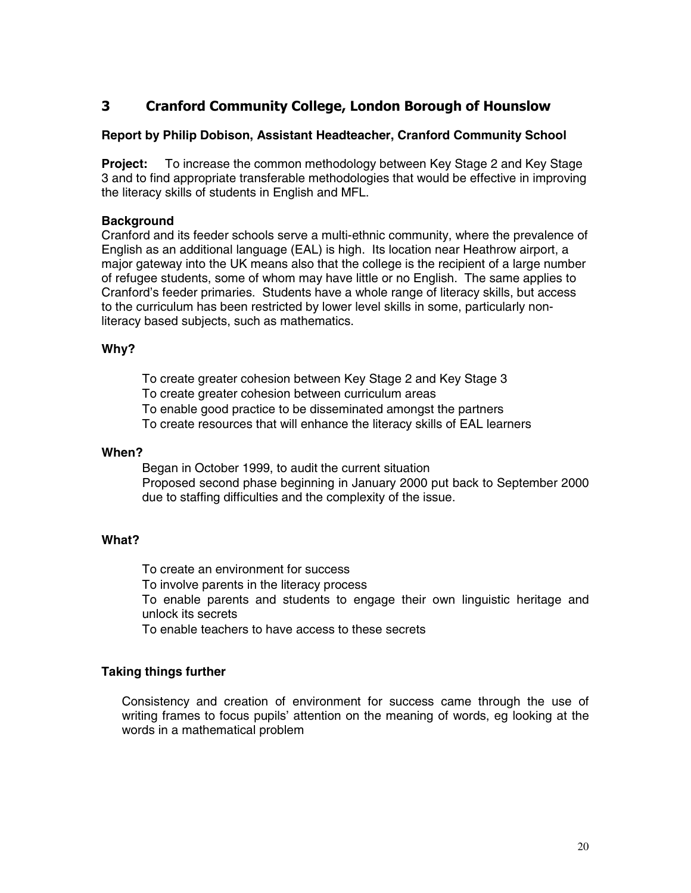## **3 Cranford Community College, London Borough of Hounslow**

#### **Report by Philip Dobison, Assistant Headteacher, Cranford Community School**

**Project:** To increase the common methodology between Key Stage 2 and Key Stage 3 and to find appropriate transferable methodologies that would be effective in improving the literacy skills of students in English and MFL.

#### **Background**

Cranford and its feeder schools serve a multi-ethnic community, where the prevalence of English as an additional language (EAL) is high. Its location near Heathrow airport, a major gateway into the UK means also that the college is the recipient of a large number of refugee students, some of whom may have little or no English. The same applies to Cranford's feeder primaries. Students have a whole range of literacy skills, but access to the curriculum has been restricted by lower level skills in some, particularly nonliteracy based subjects, such as mathematics.

#### **Why?**

 To create greater cohesion between Key Stage 2 and Key Stage 3 To create greater cohesion between curriculum areas To enable good practice to be disseminated amongst the partners To create resources that will enhance the literacy skills of EAL learners

#### **When?**

 Began in October 1999, to audit the current situation Proposed second phase beginning in January 2000 put back to September 2000 due to staffing difficulties and the complexity of the issue.

#### **What?**

 To create an environment for success To involve parents in the literacy process To enable parents and students to engage their own linguistic heritage and unlock its secrets To enable teachers to have access to these secrets

#### **Taking things further**

 Consistency and creation of environment for success came through the use of writing frames to focus pupils' attention on the meaning of words, eg looking at the words in a mathematical problem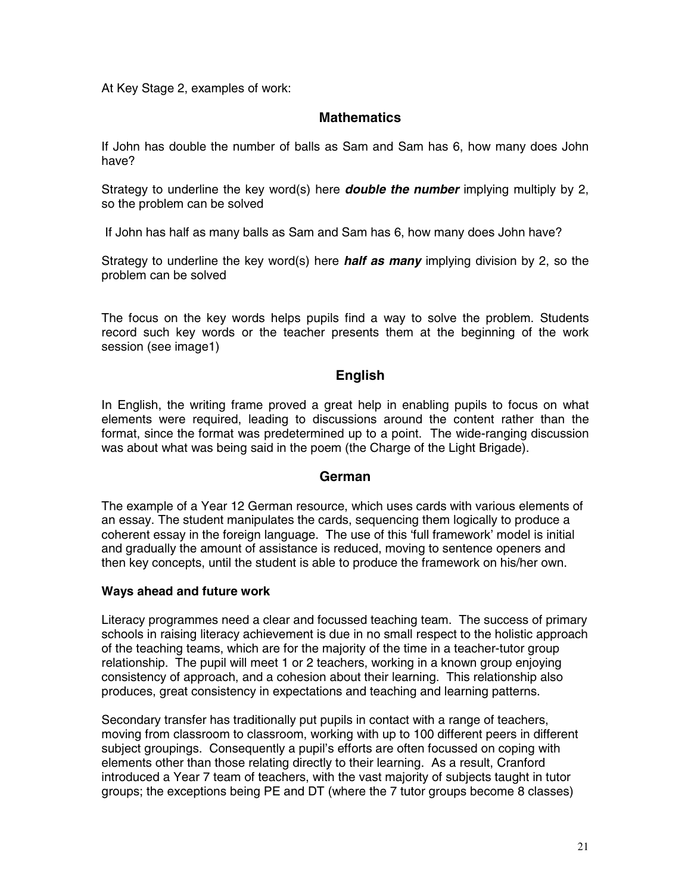At Key Stage 2, examples of work:

#### **Mathematics**

If John has double the number of balls as Sam and Sam has 6, how many does John have?

Strategy to underline the key word(s) here *double the number* implying multiply by 2, so the problem can be solved

If John has half as many balls as Sam and Sam has 6, how many does John have?

Strategy to underline the key word(s) here *half as many* implying division by 2, so the problem can be solved

The focus on the key words helps pupils find a way to solve the problem. Students record such key words or the teacher presents them at the beginning of the work session (see image1)

#### **English**

In English, the writing frame proved a great help in enabling pupils to focus on what elements were required, leading to discussions around the content rather than the format, since the format was predetermined up to a point. The wide-ranging discussion was about what was being said in the poem (the Charge of the Light Brigade).

#### **German**

The example of a Year 12 German resource, which uses cards with various elements of an essay. The student manipulates the cards, sequencing them logically to produce a coherent essay in the foreign language. The use of this 'full framework' model is initial and gradually the amount of assistance is reduced, moving to sentence openers and then key concepts, until the student is able to produce the framework on his/her own.

#### **Ways ahead and future work**

Literacy programmes need a clear and focussed teaching team. The success of primary schools in raising literacy achievement is due in no small respect to the holistic approach of the teaching teams, which are for the majority of the time in a teacher-tutor group relationship. The pupil will meet 1 or 2 teachers, working in a known group enjoying consistency of approach, and a cohesion about their learning. This relationship also produces, great consistency in expectations and teaching and learning patterns.

Secondary transfer has traditionally put pupils in contact with a range of teachers, moving from classroom to classroom, working with up to 100 different peers in different subject groupings. Consequently a pupil's efforts are often focussed on coping with elements other than those relating directly to their learning. As a result, Cranford introduced a Year 7 team of teachers, with the vast majority of subjects taught in tutor groups; the exceptions being PE and DT (where the 7 tutor groups become 8 classes)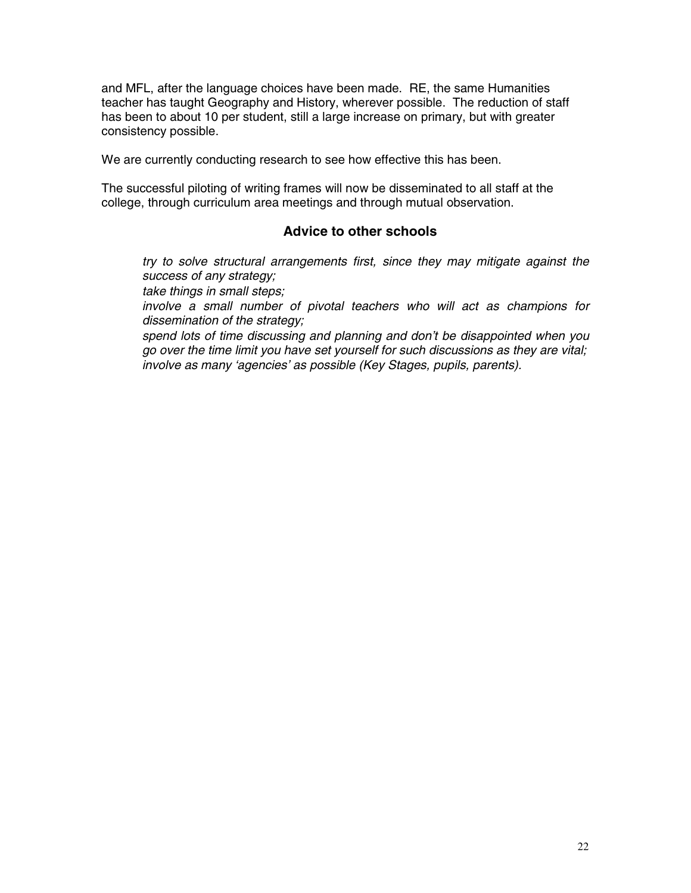and MFL, after the language choices have been made. RE, the same Humanities teacher has taught Geography and History, wherever possible. The reduction of staff has been to about 10 per student, still a large increase on primary, but with greater consistency possible.

We are currently conducting research to see how effective this has been.

The successful piloting of writing frames will now be disseminated to all staff at the college, through curriculum area meetings and through mutual observation.

#### **Advice to other schools**

*try to solve structural arrangements first, since they may mitigate against the success of any strategy;*

*take things in small steps;*

*involve a small number of pivotal teachers who will act as champions for dissemination of the strategy;*

*spend lots of time discussing and planning and don't be disappointed when you go over the time limit you have set yourself for such discussions as they are vital; involve as many 'agencies' as possible (Key Stages, pupils, parents).*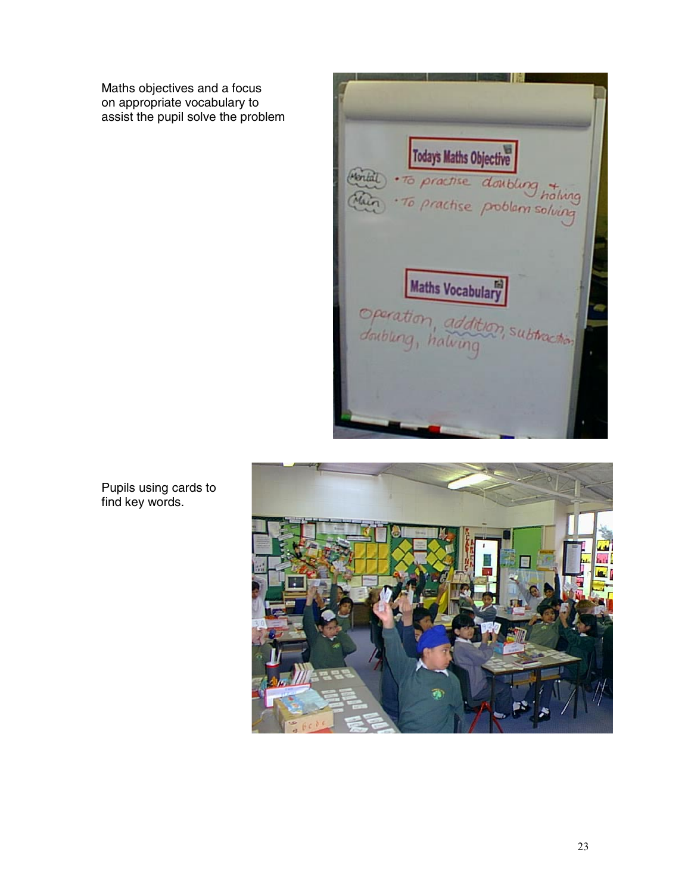Maths objectives and a focus on appropriate vocabulary to assist the pupil solve the problem





Pupils using cards to find key words.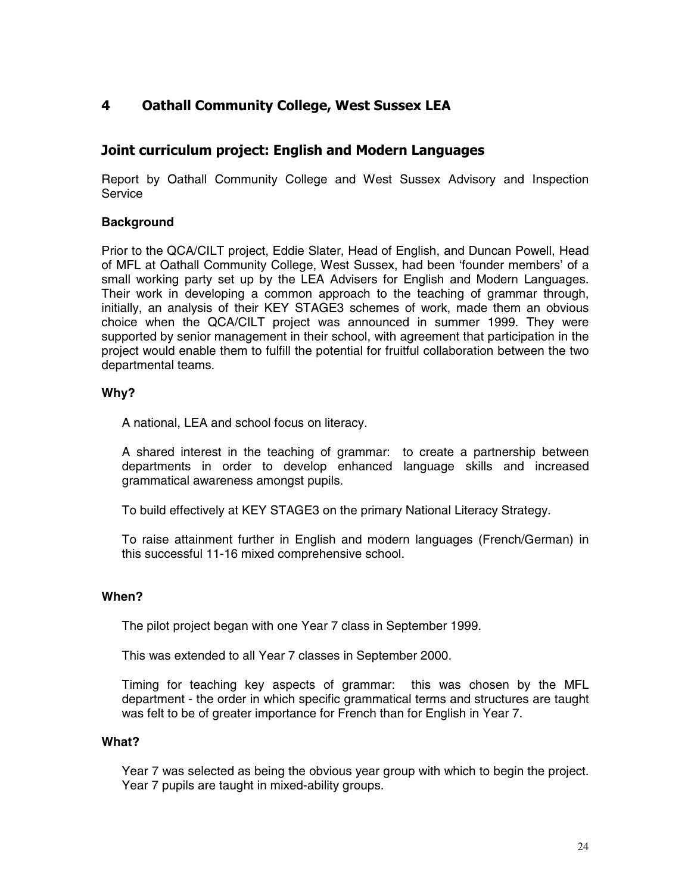## **4 Oathall Community College, West Sussex LEA**

## **Joint curriculum project: English and Modern Languages**

Report by Oathall Community College and West Sussex Advisory and Inspection **Service** 

#### **Background**

Prior to the QCA/CILT project, Eddie Slater, Head of English, and Duncan Powell, Head of MFL at Oathall Community College, West Sussex, had been 'founder members' of a small working party set up by the LEA Advisers for English and Modern Languages. Their work in developing a common approach to the teaching of grammar through, initially, an analysis of their KEY STAGE3 schemes of work, made them an obvious choice when the QCA/CILT project was announced in summer 1999. They were supported by senior management in their school, with agreement that participation in the project would enable them to fulfill the potential for fruitful collaboration between the two departmental teams.

#### **Why?**

A national, LEA and school focus on literacy.

 A shared interest in the teaching of grammar: to create a partnership between departments in order to develop enhanced language skills and increased grammatical awareness amongst pupils.

To build effectively at KEY STAGE3 on the primary National Literacy Strategy.

 To raise attainment further in English and modern languages (French/German) in this successful 11-16 mixed comprehensive school.

#### **When?**

The pilot project began with one Year 7 class in September 1999.

This was extended to all Year 7 classes in September 2000.

 Timing for teaching key aspects of grammar: this was chosen by the MFL department - the order in which specific grammatical terms and structures are taught was felt to be of greater importance for French than for English in Year 7.

#### **What?**

 Year 7 was selected as being the obvious year group with which to begin the project. Year 7 pupils are taught in mixed-ability groups.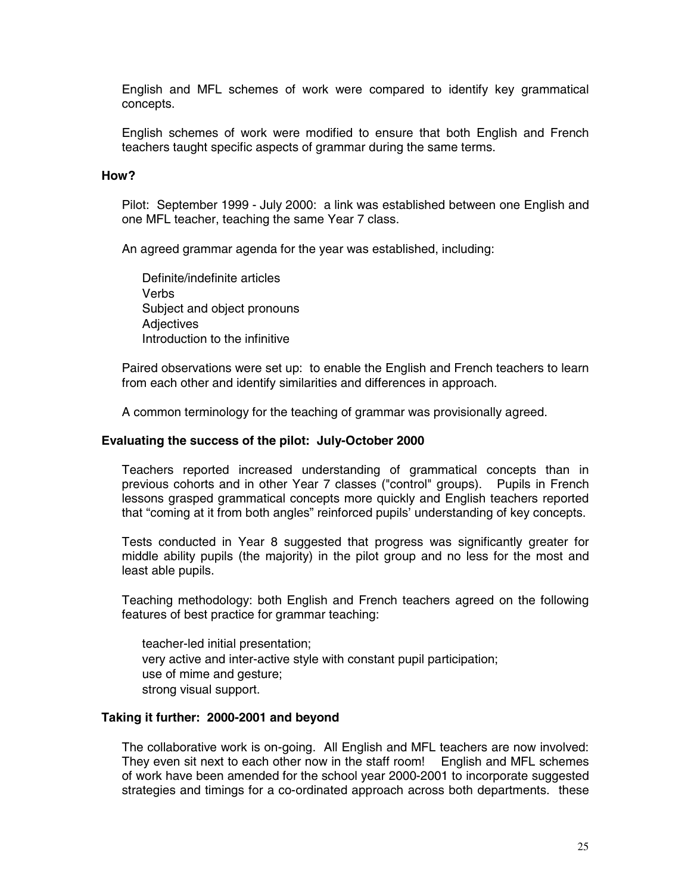English and MFL schemes of work were compared to identify key grammatical concepts.

 English schemes of work were modified to ensure that both English and French teachers taught specific aspects of grammar during the same terms.

#### **How?**

 Pilot: September 1999 - July 2000: a link was established between one English and one MFL teacher, teaching the same Year 7 class.

An agreed grammar agenda for the year was established, including:

 Definite/indefinite articles Verbs Subject and object pronouns **Adiectives** Introduction to the infinitive

 Paired observations were set up: to enable the English and French teachers to learn from each other and identify similarities and differences in approach.

A common terminology for the teaching of grammar was provisionally agreed.

#### **Evaluating the success of the pilot: July-October 2000**

 Teachers reported increased understanding of grammatical concepts than in previous cohorts and in other Year 7 classes ("control" groups). Pupils in French lessons grasped grammatical concepts more quickly and English teachers reported that "coming at it from both angles" reinforced pupils' understanding of key concepts.

 Tests conducted in Year 8 suggested that progress was significantly greater for middle ability pupils (the majority) in the pilot group and no less for the most and least able pupils.

 Teaching methodology: both English and French teachers agreed on the following features of best practice for grammar teaching:

 teacher-led initial presentation; very active and inter-active style with constant pupil participation; use of mime and gesture; strong visual support.

#### **Taking it further: 2000-2001 and beyond**

 The collaborative work is on-going. All English and MFL teachers are now involved: They even sit next to each other now in the staff room! English and MFL schemes of work have been amended for the school year 2000-2001 to incorporate suggested strategies and timings for a co-ordinated approach across both departments. these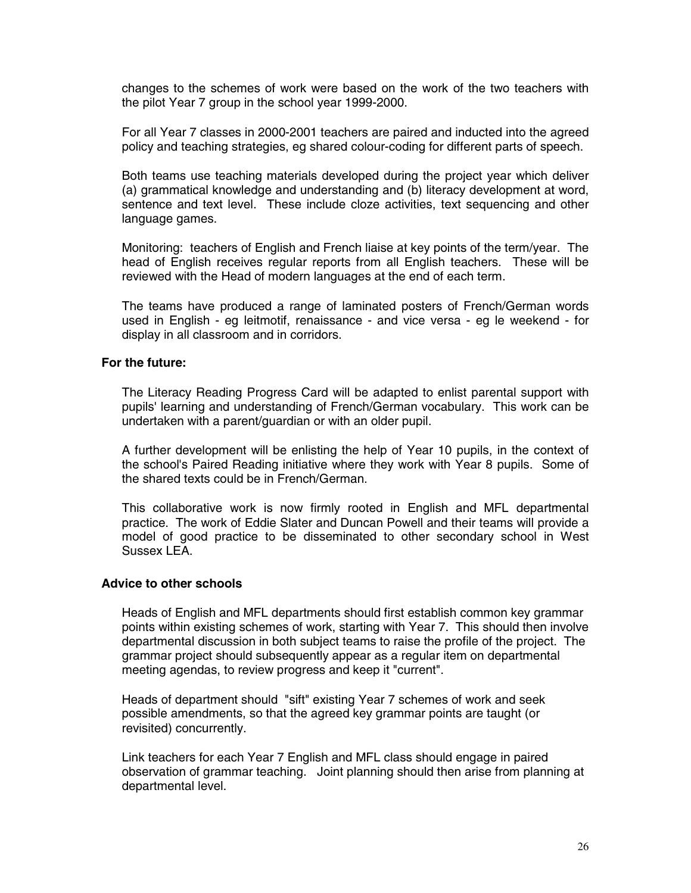changes to the schemes of work were based on the work of the two teachers with the pilot Year 7 group in the school year 1999-2000.

 For all Year 7 classes in 2000-2001 teachers are paired and inducted into the agreed policy and teaching strategies, eg shared colour-coding for different parts of speech.

 Both teams use teaching materials developed during the project year which deliver (a) grammatical knowledge and understanding and (b) literacy development at word, sentence and text level. These include cloze activities, text sequencing and other language games.

 Monitoring: teachers of English and French liaise at key points of the term/year. The head of English receives regular reports from all English teachers. These will be reviewed with the Head of modern languages at the end of each term.

 The teams have produced a range of laminated posters of French/German words used in English - eg leitmotif, renaissance - and vice versa - eg le weekend - for display in all classroom and in corridors.

#### **For the future:**

 The Literacy Reading Progress Card will be adapted to enlist parental support with pupils' learning and understanding of French/German vocabulary. This work can be undertaken with a parent/guardian or with an older pupil.

 A further development will be enlisting the help of Year 10 pupils, in the context of the school's Paired Reading initiative where they work with Year 8 pupils. Some of the shared texts could be in French/German.

 This collaborative work is now firmly rooted in English and MFL departmental practice. The work of Eddie Slater and Duncan Powell and their teams will provide a model of good practice to be disseminated to other secondary school in West Sussex LEA.

#### **Advice to other schools**

 Heads of English and MFL departments should first establish common key grammar points within existing schemes of work, starting with Year 7. This should then involve departmental discussion in both subject teams to raise the profile of the project. The grammar project should subsequently appear as a regular item on departmental meeting agendas, to review progress and keep it "current".

 Heads of department should "sift" existing Year 7 schemes of work and seek possible amendments, so that the agreed key grammar points are taught (or revisited) concurrently.

 Link teachers for each Year 7 English and MFL class should engage in paired observation of grammar teaching. Joint planning should then arise from planning at departmental level.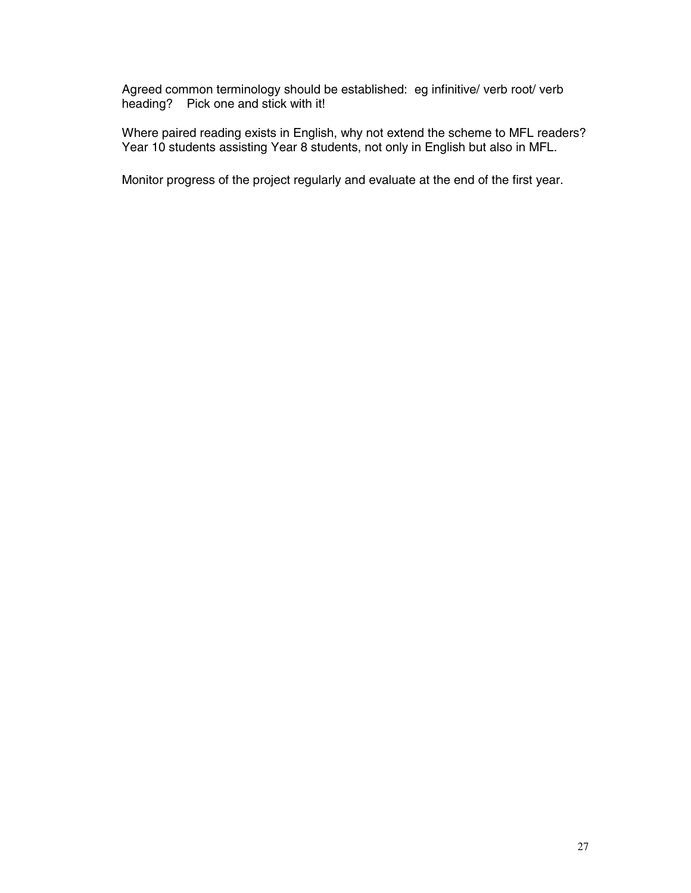Agreed common terminology should be established: eg infinitive/ verb root/ verb heading? Pick one and stick with it!

 Where paired reading exists in English, why not extend the scheme to MFL readers? Year 10 students assisting Year 8 students, not only in English but also in MFL.

Monitor progress of the project regularly and evaluate at the end of the first year.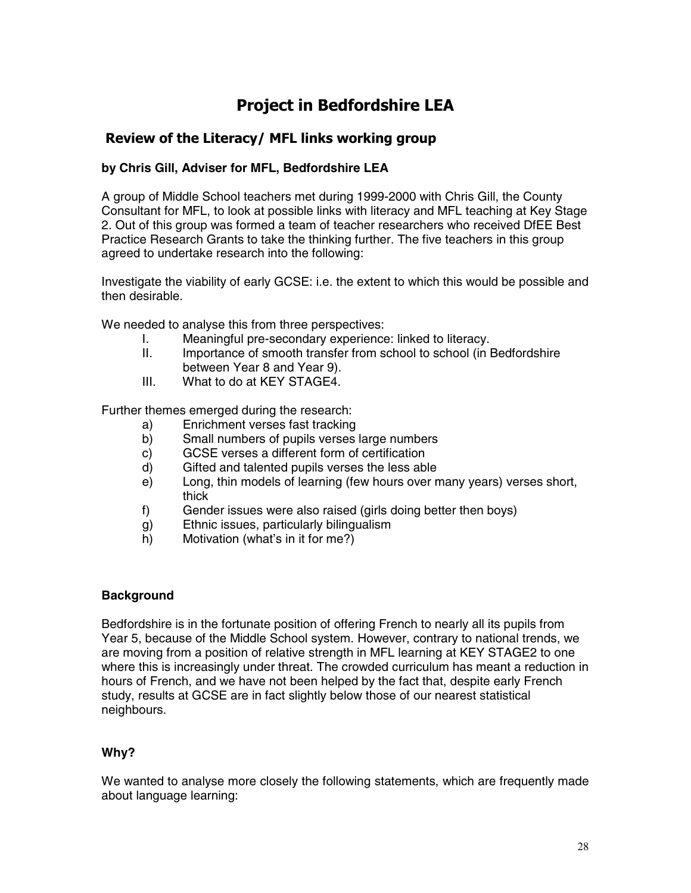## **Project in Bedfordshire LEA**

## **Review of the Literacy/ MFL links working group**

#### **by Chris Gill, Adviser for MFL, Bedfordshire LEA**

A group of Middle School teachers met during 1999-2000 with Chris Gill, the County Consultant for MFL, to look at possible links with literacy and MFL teaching at Key Stage 2. Out of this group was formed a team of teacher researchers who received DfEE Best Practice Research Grants to take the thinking further. The five teachers in this group agreed to undertake research into the following:

Investigate the viability of early GCSE: i.e. the extent to which this would be possible and then desirable.

We needed to analyse this from three perspectives:

- I. Meaningful pre-secondary experience: linked to literacy.
- II. Importance of smooth transfer from school to school (in Bedfordshire between Year 8 and Year 9).
- III. What to do at KEY STAGE4.

Further themes emerged during the research:

- a) Enrichment verses fast tracking
- b) Small numbers of pupils verses large numbers
- c) GCSE verses a different form of certification
- d) Gifted and talented pupils verses the less able
- e) Long, thin models of learning (few hours over many years) verses short, thick
- f) Gender issues were also raised (girls doing better then boys)
- g) Ethnic issues, particularly bilingualism
- h) Motivation (what's in it for me?)

#### **Background**

Bedfordshire is in the fortunate position of offering French to nearly all its pupils from Year 5, because of the Middle School system. However, contrary to national trends, we are moving from a position of relative strength in MFL learning at KEY STAGE2 to one where this is increasingly under threat. The crowded curriculum has meant a reduction in hours of French, and we have not been helped by the fact that, despite early French study, results at GCSE are in fact slightly below those of our nearest statistical neighbours.

#### **Why?**

We wanted to analyse more closely the following statements, which are frequently made about language learning: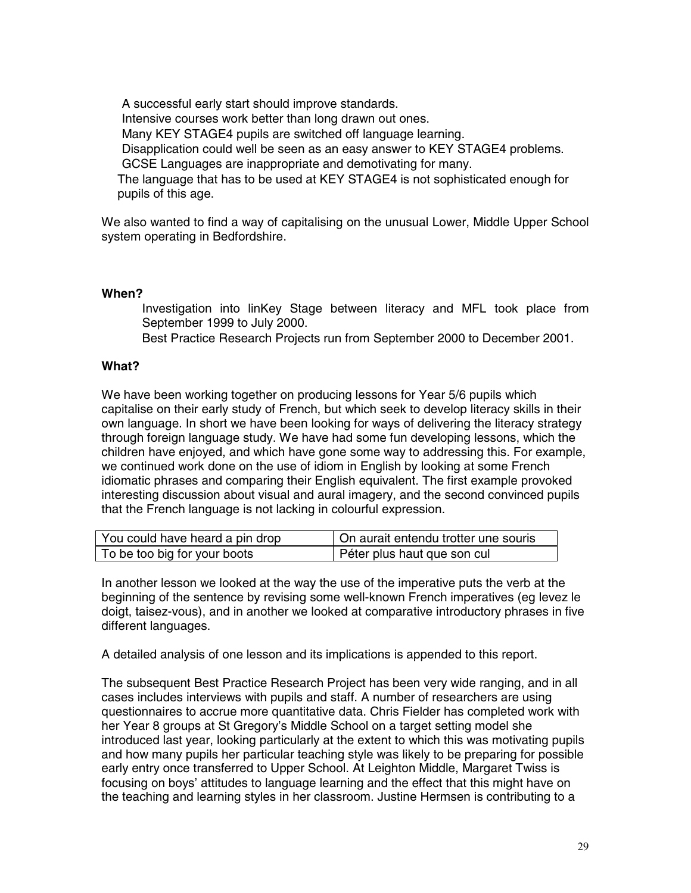A successful early start should improve standards. Intensive courses work better than long drawn out ones. Many KEY STAGE4 pupils are switched off language learning. Disapplication could well be seen as an easy answer to KEY STAGE4 problems. GCSE Languages are inappropriate and demotivating for many. The language that has to be used at KEY STAGE4 is not sophisticated enough for pupils of this age.

We also wanted to find a way of capitalising on the unusual Lower, Middle Upper School system operating in Bedfordshire.

#### **When?**

 Investigation into linKey Stage between literacy and MFL took place from September 1999 to July 2000.

Best Practice Research Projects run from September 2000 to December 2001.

#### **What?**

We have been working together on producing lessons for Year 5/6 pupils which capitalise on their early study of French, but which seek to develop literacy skills in their own language. In short we have been looking for ways of delivering the literacy strategy through foreign language study. We have had some fun developing lessons, which the children have enjoyed, and which have gone some way to addressing this. For example, we continued work done on the use of idiom in English by looking at some French idiomatic phrases and comparing their English equivalent. The first example provoked interesting discussion about visual and aural imagery, and the second convinced pupils that the French language is not lacking in colourful expression.

| You could have heard a pin drop | On aurait entendu trotter une souris |  |  |
|---------------------------------|--------------------------------------|--|--|
| To be too big for your boots    | Péter plus haut que son cul          |  |  |

In another lesson we looked at the way the use of the imperative puts the verb at the beginning of the sentence by revising some well-known French imperatives (eg levez le doigt, taisez-vous), and in another we looked at comparative introductory phrases in five different languages.

A detailed analysis of one lesson and its implications is appended to this report.

The subsequent Best Practice Research Project has been very wide ranging, and in all cases includes interviews with pupils and staff. A number of researchers are using questionnaires to accrue more quantitative data. Chris Fielder has completed work with her Year 8 groups at St Gregory's Middle School on a target setting model she introduced last year, looking particularly at the extent to which this was motivating pupils and how many pupils her particular teaching style was likely to be preparing for possible early entry once transferred to Upper School. At Leighton Middle, Margaret Twiss is focusing on boys' attitudes to language learning and the effect that this might have on the teaching and learning styles in her classroom. Justine Hermsen is contributing to a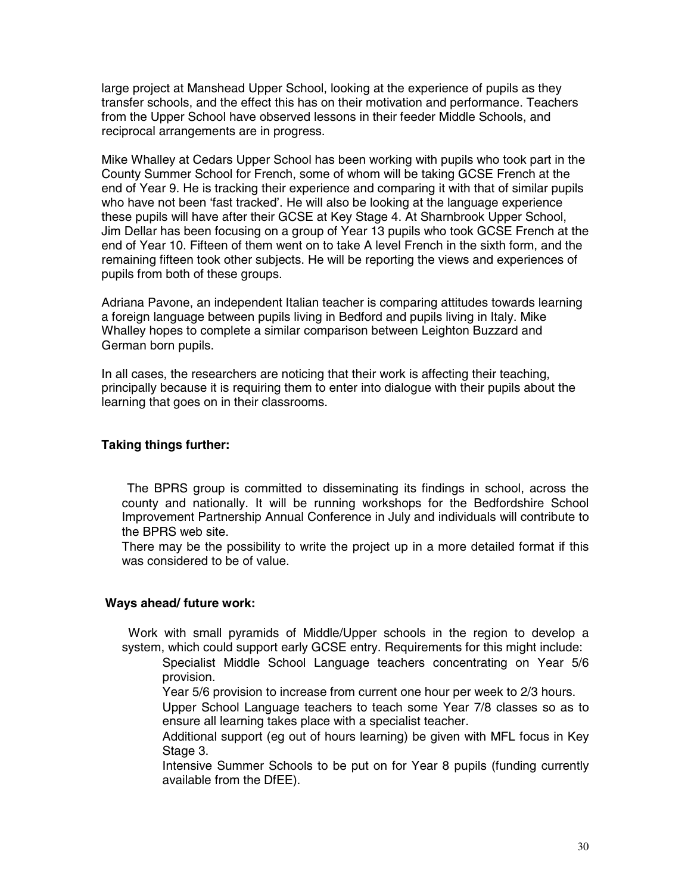large project at Manshead Upper School, looking at the experience of pupils as they transfer schools, and the effect this has on their motivation and performance. Teachers from the Upper School have observed lessons in their feeder Middle Schools, and reciprocal arrangements are in progress.

Mike Whalley at Cedars Upper School has been working with pupils who took part in the County Summer School for French, some of whom will be taking GCSE French at the end of Year 9. He is tracking their experience and comparing it with that of similar pupils who have not been 'fast tracked'. He will also be looking at the language experience these pupils will have after their GCSE at Key Stage 4. At Sharnbrook Upper School, Jim Dellar has been focusing on a group of Year 13 pupils who took GCSE French at the end of Year 10. Fifteen of them went on to take A level French in the sixth form, and the remaining fifteen took other subjects. He will be reporting the views and experiences of pupils from both of these groups.

Adriana Pavone, an independent Italian teacher is comparing attitudes towards learning a foreign language between pupils living in Bedford and pupils living in Italy. Mike Whalley hopes to complete a similar comparison between Leighton Buzzard and German born pupils.

In all cases, the researchers are noticing that their work is affecting their teaching, principally because it is requiring them to enter into dialogue with their pupils about the learning that goes on in their classrooms.

#### **Taking things further:**

 The BPRS group is committed to disseminating its findings in school, across the county and nationally. It will be running workshops for the Bedfordshire School Improvement Partnership Annual Conference in July and individuals will contribute to the BPRS web site.

 There may be the possibility to write the project up in a more detailed format if this was considered to be of value.

#### **Ways ahead/ future work:**

 Work with small pyramids of Middle/Upper schools in the region to develop a system, which could support early GCSE entry. Requirements for this might include:

- Specialist Middle School Language teachers concentrating on Year 5/6 provision.
	- Year 5/6 provision to increase from current one hour per week to 2/3 hours.
	- Upper School Language teachers to teach some Year 7/8 classes so as to ensure all learning takes place with a specialist teacher.
	- Additional support (eg out of hours learning) be given with MFL focus in Key Stage 3.

 Intensive Summer Schools to be put on for Year 8 pupils (funding currently available from the DfEE).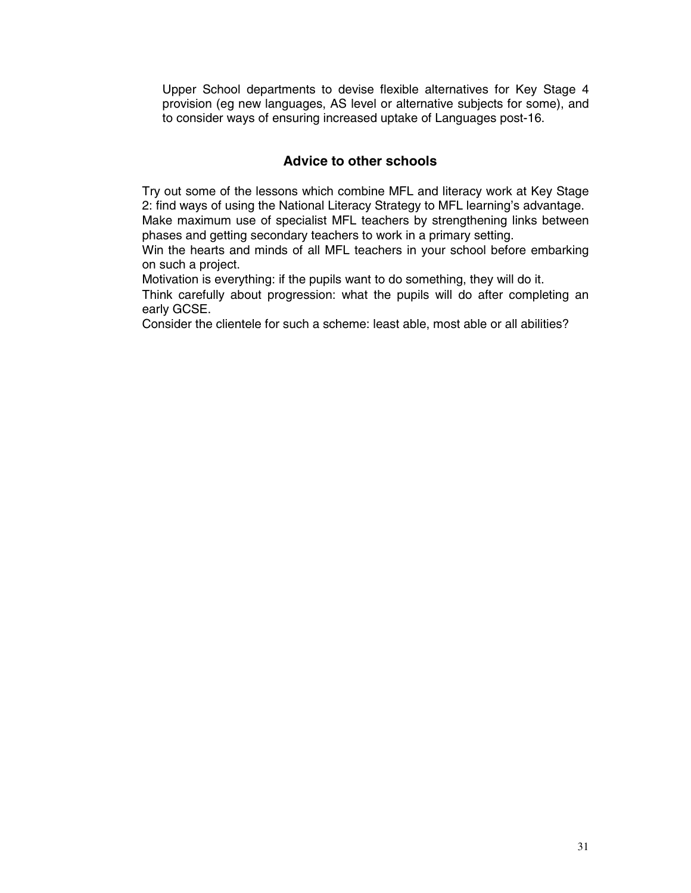Upper School departments to devise flexible alternatives for Key Stage 4 provision (eg new languages, AS level or alternative subjects for some), and to consider ways of ensuring increased uptake of Languages post-16.

## **Advice to other schools**

 Try out some of the lessons which combine MFL and literacy work at Key Stage 2: find ways of using the National Literacy Strategy to MFL learning's advantage. Make maximum use of specialist MFL teachers by strengthening links between phases and getting secondary teachers to work in a primary setting.

 Win the hearts and minds of all MFL teachers in your school before embarking on such a project.

Motivation is everything: if the pupils want to do something, they will do it.

 Think carefully about progression: what the pupils will do after completing an early GCSE.

Consider the clientele for such a scheme: least able, most able or all abilities?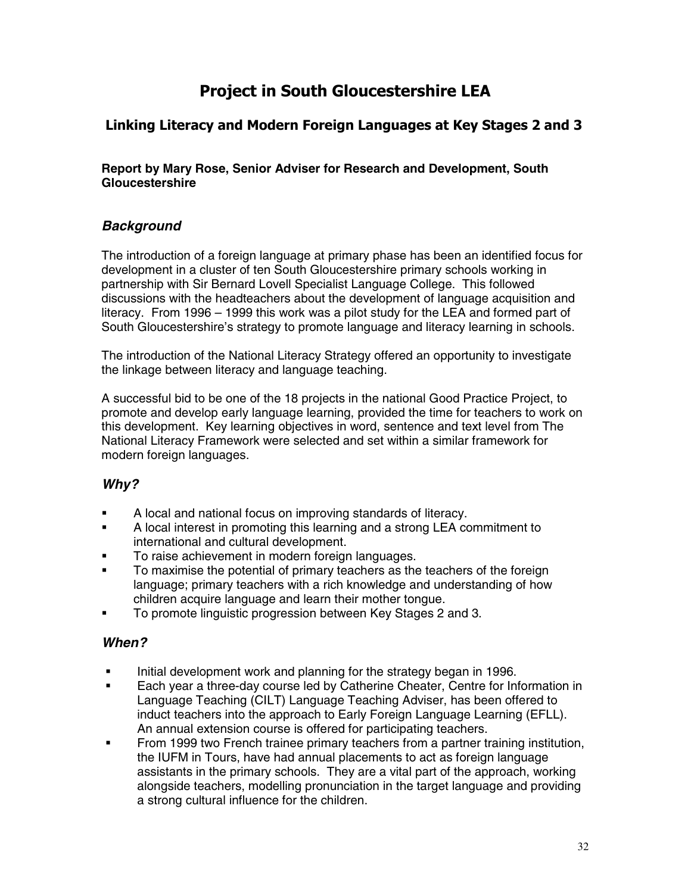## **Project in South Gloucestershire LEA**

## **Linking Literacy and Modern Foreign Languages at Key Stages 2 and 3**

**Report by Mary Rose, Senior Adviser for Research and Development, South Gloucestershire**

## *Background*

The introduction of a foreign language at primary phase has been an identified focus for development in a cluster of ten South Gloucestershire primary schools working in partnership with Sir Bernard Lovell Specialist Language College. This followed discussions with the headteachers about the development of language acquisition and literacy. From 1996 – 1999 this work was a pilot study for the LEA and formed part of South Gloucestershire's strategy to promote language and literacy learning in schools.

The introduction of the National Literacy Strategy offered an opportunity to investigate the linkage between literacy and language teaching.

A successful bid to be one of the 18 projects in the national Good Practice Project, to promote and develop early language learning, provided the time for teachers to work on this development. Key learning objectives in word, sentence and text level from The National Literacy Framework were selected and set within a similar framework for modern foreign languages.

## *Why?*

- A local and national focus on improving standards of literacy.
- A local interest in promoting this learning and a strong LEA commitment to international and cultural development.
- **To raise achievement in modern foreign languages.**<br> **To maximise the potential of primary teachers as the**
- To maximise the potential of primary teachers as the teachers of the foreign language; primary teachers with a rich knowledge and understanding of how children acquire language and learn their mother tongue.
- To promote linguistic progression between Key Stages 2 and 3.

### *When?*

- Initial development work and planning for the strategy began in 1996.
- Each year a three-day course led by Catherine Cheater, Centre for Information in Language Teaching (CILT) Language Teaching Adviser, has been offered to induct teachers into the approach to Early Foreign Language Learning (EFLL). An annual extension course is offered for participating teachers.
- From 1999 two French trainee primary teachers from a partner training institution, the IUFM in Tours, have had annual placements to act as foreign language assistants in the primary schools. They are a vital part of the approach, working alongside teachers, modelling pronunciation in the target language and providing a strong cultural influence for the children.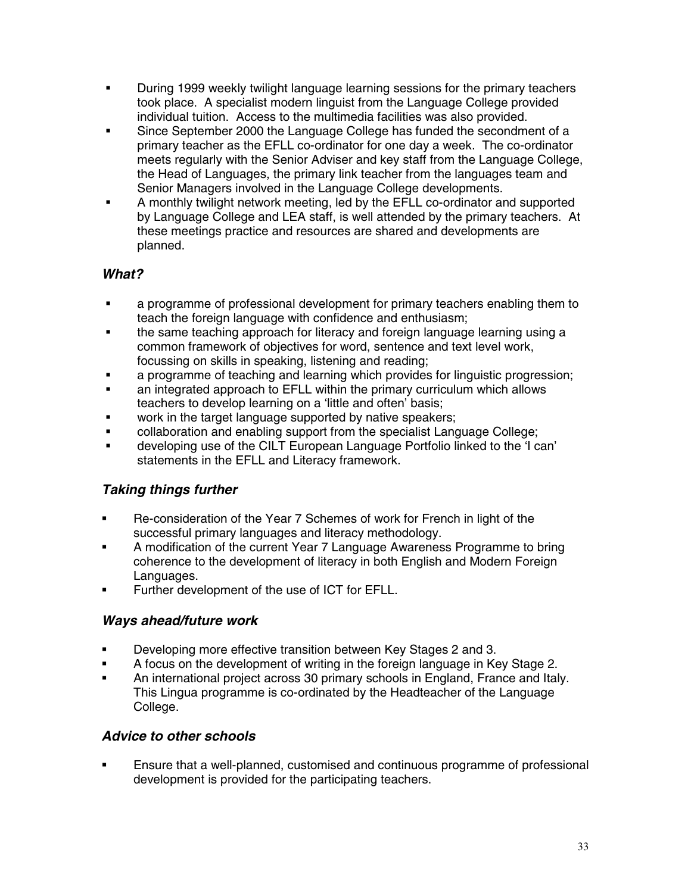- During 1999 weekly twilight language learning sessions for the primary teachers took place. A specialist modern linguist from the Language College provided individual tuition. Access to the multimedia facilities was also provided.
- Since September 2000 the Language College has funded the secondment of a primary teacher as the EFLL co-ordinator for one day a week. The co-ordinator meets regularly with the Senior Adviser and key staff from the Language College, the Head of Languages, the primary link teacher from the languages team and Senior Managers involved in the Language College developments.
- A monthly twilight network meeting, led by the EFLL co-ordinator and supported by Language College and LEA staff, is well attended by the primary teachers. At these meetings practice and resources are shared and developments are planned.

## *What?*

- a programme of professional development for primary teachers enabling them to teach the foreign language with confidence and enthusiasm;
- the same teaching approach for literacy and foreign language learning using a common framework of objectives for word, sentence and text level work, focussing on skills in speaking, listening and reading;
- **a** a programme of teaching and learning which provides for linguistic progression:
- an integrated approach to EFLL within the primary curriculum which allows teachers to develop learning on a 'little and often' basis;
- work in the target language supported by native speakers;
- collaboration and enabling support from the specialist Language College;
- developing use of the CILT European Language Portfolio linked to the 'I can' statements in the EFLL and Literacy framework.

## *Taking things further*

- Re-consideration of the Year 7 Schemes of work for French in light of the successful primary languages and literacy methodology.
- **A** modification of the current Year 7 Language Awareness Programme to bring coherence to the development of literacy in both English and Modern Foreign Languages.
- **Further development of the use of ICT for EFLL.**

### *Ways ahead/future work*

- **Developing more effective transition between Key Stages 2 and 3.**
- **A** focus on the development of writing in the foreign language in Key Stage 2.
- An international project across 30 primary schools in England, France and Italy. This Lingua programme is co-ordinated by the Headteacher of the Language College.

### *Advice to other schools*

 Ensure that a well-planned, customised and continuous programme of professional development is provided for the participating teachers.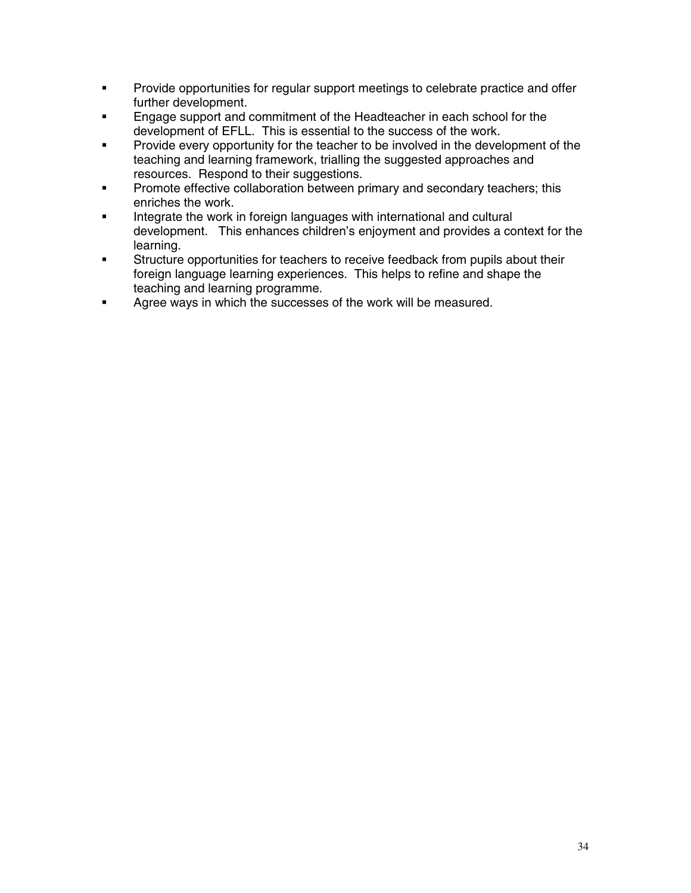- **Provide opportunities for regular support meetings to celebrate practice and offer** further development.
- **Engage support and commitment of the Headteacher in each school for the** development of EFLL. This is essential to the success of the work.
- **Provide every opportunity for the teacher to be involved in the development of the** teaching and learning framework, trialling the suggested approaches and resources. Respond to their suggestions.
- **Promote effective collaboration between primary and secondary teachers; this** enriches the work.
- Integrate the work in foreign languages with international and cultural development. This enhances children's enjoyment and provides a context for the learning.
- **Structure opportunities for teachers to receive feedback from pupils about their** foreign language learning experiences. This helps to refine and shape the teaching and learning programme.
- **Agree ways in which the successes of the work will be measured.**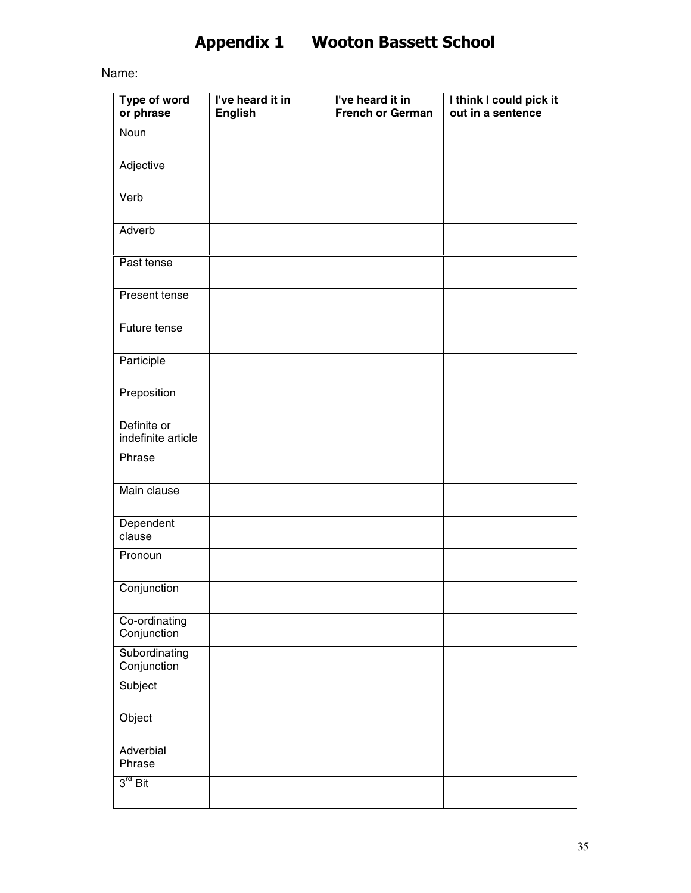## **Appendix 1 Wooton Bassett School**

Name:

| Type of word<br>or phrase         | I've heard it in<br><b>English</b> | I've heard it in<br><b>French or German</b> | I think I could pick it<br>out in a sentence |
|-----------------------------------|------------------------------------|---------------------------------------------|----------------------------------------------|
| Noun                              |                                    |                                             |                                              |
| Adjective                         |                                    |                                             |                                              |
| Verb                              |                                    |                                             |                                              |
| Adverb                            |                                    |                                             |                                              |
| Past tense                        |                                    |                                             |                                              |
| Present tense                     |                                    |                                             |                                              |
| Future tense                      |                                    |                                             |                                              |
| Participle                        |                                    |                                             |                                              |
| Preposition                       |                                    |                                             |                                              |
| Definite or<br>indefinite article |                                    |                                             |                                              |
| Phrase                            |                                    |                                             |                                              |
| Main clause                       |                                    |                                             |                                              |
| Dependent<br>clause               |                                    |                                             |                                              |
| Pronoun                           |                                    |                                             |                                              |
| Conjunction                       |                                    |                                             |                                              |
| Co-ordinating<br>Conjunction      |                                    |                                             |                                              |
| Subordinating<br>Conjunction      |                                    |                                             |                                              |
| Subject                           |                                    |                                             |                                              |
| Object                            |                                    |                                             |                                              |
| Adverbial<br>Phrase               |                                    |                                             |                                              |
| $3^{rd}$ Bit                      |                                    |                                             |                                              |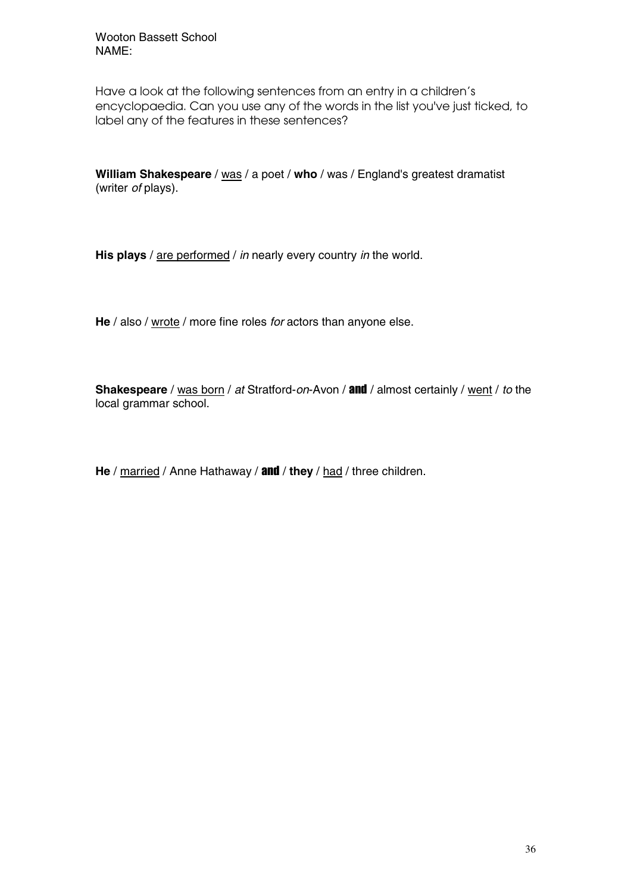Wooton Bassett School NAME:

Have a look at the following sentences from an entry in a children's encyclopaedia. Can you use any of the words in the list you've just ticked, to label any of the features in these sentences?

**William Shakespeare** / was / a poet / who / was / England's greatest dramatist (writer *of* plays).

**His plays** / are performed / *in* nearly every country *in* the world.

**He** / also / wrote / more fine roles *for* actors than anyone else.

**Shakespeare** / was born / *at* Stratford-*on*-Avon / and / almost certainly / went / *to* the local grammar school.

**He** / married / Anne Hathaway / and / **they** / had / three children.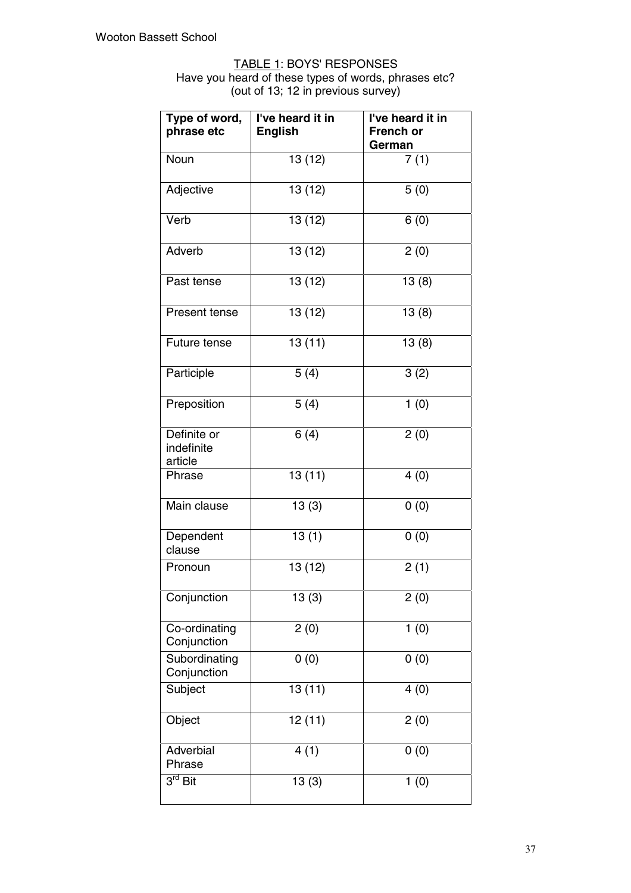#### TABLE 1: BOYS' RESPONSES

Have you heard of these types of words, phrases etc? (out of 13; 12 in previous survey)

| I've heard it in<br>Type of word,<br>phrase etc<br><b>English</b> |         | I've heard it in<br><b>French or</b><br>German |
|-------------------------------------------------------------------|---------|------------------------------------------------|
| Noun                                                              | 13(12)  | 7(1)                                           |
| Adjective                                                         | 13 (12) | 5(0)                                           |
| Verb                                                              | 13 (12) | 6(0)                                           |
| Adverb                                                            | 13 (12) | 2(0)                                           |
| Past tense                                                        | 13(12)  | 13(8)                                          |
| Present tense                                                     | 13 (12) | 13(8)                                          |
| Future tense                                                      | 13(11)  | 13(8)                                          |
| Participle                                                        | 5(4)    | 3(2)                                           |
| Preposition                                                       | 5(4)    | 1(0)                                           |
| Definite or<br>indefinite<br>article                              | 6(4)    | 2(0)                                           |
| Phrase                                                            | 13(11)  | 4(0)                                           |
| Main clause                                                       | 13(3)   | 0(0)                                           |
| Dependent<br>clause                                               | 13(1)   | $\overline{0(0)}$                              |
| Pronoun                                                           | 13 (12) | 2(1)                                           |
| Conjunction                                                       | 13(3)   | 2(0)                                           |
| Co-ordinating<br>Conjunction                                      | 2(0)    | 1(0)                                           |
| Subordinating<br>Conjunction                                      | 0(0)    | 0(0)                                           |
| Subject                                                           | 13(11)  | 4(0)                                           |
| Object                                                            | 12(11)  | 2(0)                                           |
| Adverbial<br>Phrase                                               | 4(1)    | 0(0)                                           |
| 3 <sup>rd</sup> Bit                                               | 13(3)   | 1(0)                                           |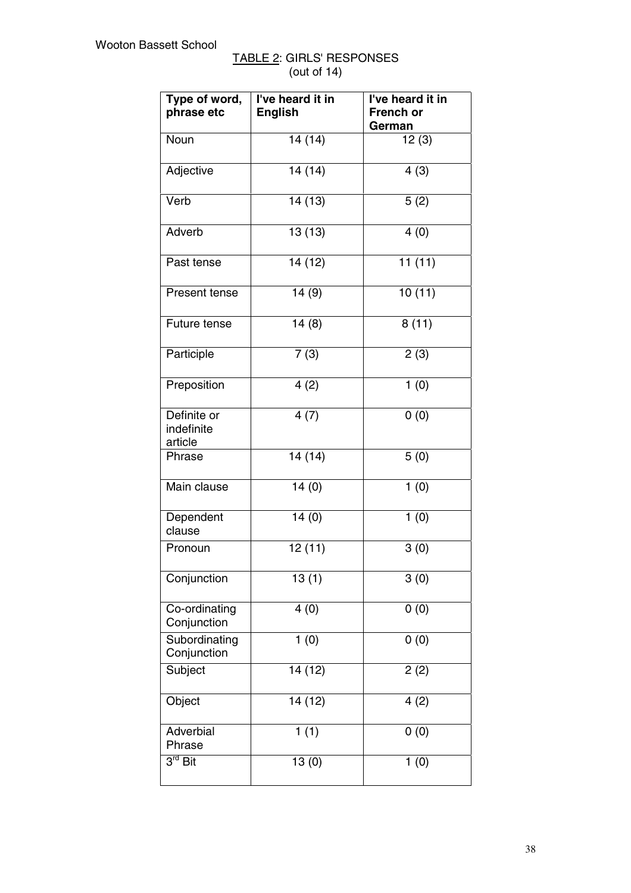| TABLE 2: GIRLS' RESPONSES |  |
|---------------------------|--|
| (out of $14$ )            |  |

| Type of word,<br>phrase etc          | I've heard it in<br><b>English</b> | I've heard it in<br><b>French or</b><br>German |
|--------------------------------------|------------------------------------|------------------------------------------------|
| Noun                                 | 14(14)                             | 12(3)                                          |
| Adjective                            | 14(14)                             | 4(3)                                           |
| Verb                                 | 14(13)                             | 5(2)                                           |
| Adverb                               | 13(13)                             | 4(0)                                           |
| Past tense                           | 14 (12)                            | 11(11)                                         |
| Present tense                        | 14(9)                              | 10(11)                                         |
| Future tense                         | 14(8)                              | 8(11)                                          |
| Participle                           | 7(3)                               | 2(3)                                           |
| Preposition                          | 4(2)                               | 1(0)                                           |
| Definite or<br>indefinite<br>article | 4(7)                               | 0(0)                                           |
| Phrase                               | 14(14)                             | 5(0)                                           |
| Main clause                          | 14(0)                              | 1(0)                                           |
| Dependent<br>clause                  | 14(0)                              | 1(0)                                           |
| Pronoun                              | 12(11)                             | 3(0)                                           |
| Conjunction                          | 13(1)                              | 3(0)                                           |
| Co-ordinating<br>Conjunction         | 4(0)                               | 0(0)                                           |
| Subordinating<br>Conjunction         | 1(0)                               | 0(0)                                           |
| Subject                              | 14 (12)                            | 2(2)                                           |
| Object                               | 14 (12)                            | 4(2)                                           |
| Adverbial<br>Phrase                  | 1(1)                               | 0(0)                                           |
| $3^{\text{rd}}$ Bit                  | 13(0)                              | 1(0)                                           |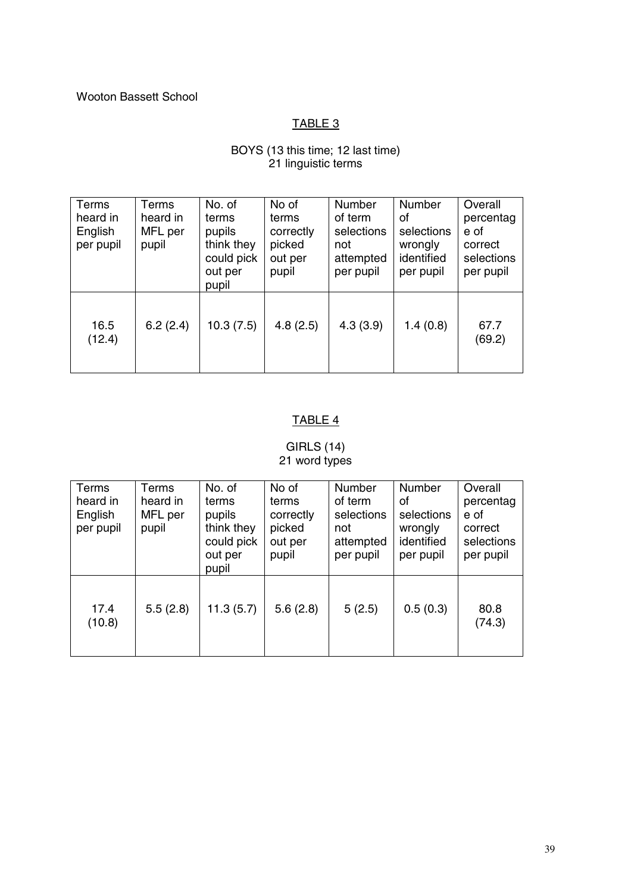#### Wooton Bassett School

## TABLE 3

#### BOYS (13 this time; 12 last time) 21 linguistic terms

| Terms<br>heard in<br>English<br>per pupil | Terms<br>heard in<br>MFL per<br>pupil | No. of<br>terms<br>pupils<br>think they<br>could pick<br>out per<br>pupil | No of<br>terms<br>correctly<br>picked<br>out per<br>pupil | Number<br>of term<br>selections<br>not<br>attempted<br>per pupil | Number<br>οf<br>selections<br>wrongly<br>identified<br>per pupil | Overall<br>percentag<br>e of<br>correct<br>selections<br>per pupil |
|-------------------------------------------|---------------------------------------|---------------------------------------------------------------------------|-----------------------------------------------------------|------------------------------------------------------------------|------------------------------------------------------------------|--------------------------------------------------------------------|
| 16.5<br>(12.4)                            | 6.2(2.4)                              | 10.3(7.5)                                                                 | 4.8(2.5)                                                  | 4.3(3.9)                                                         | 1.4(0.8)                                                         | 67.7<br>(69.2)                                                     |

## TABLE 4

### GIRLS (14) 21 word types

| Terms<br>heard in<br>English<br>per pupil | Terms<br>heard in<br>MFL per<br>pupil | No. of<br>terms<br>pupils<br>think they<br>could pick<br>out per<br>pupil | No of<br>terms<br>correctly<br>picked<br>out per<br>pupil | Number<br>of term<br>selections<br>not<br>attempted<br>per pupil | Number<br>οf<br>selections<br>wrongly<br>identified<br>per pupil | Overall<br>percentag<br>e of<br>correct<br>selections<br>per pupil |
|-------------------------------------------|---------------------------------------|---------------------------------------------------------------------------|-----------------------------------------------------------|------------------------------------------------------------------|------------------------------------------------------------------|--------------------------------------------------------------------|
| 17.4<br>(10.8)                            | 5.5(2.8)                              | 11.3(5.7)                                                                 | 5.6(2.8)                                                  | 5(2.5)                                                           | 0.5(0.3)                                                         | 80.8<br>(74.3)                                                     |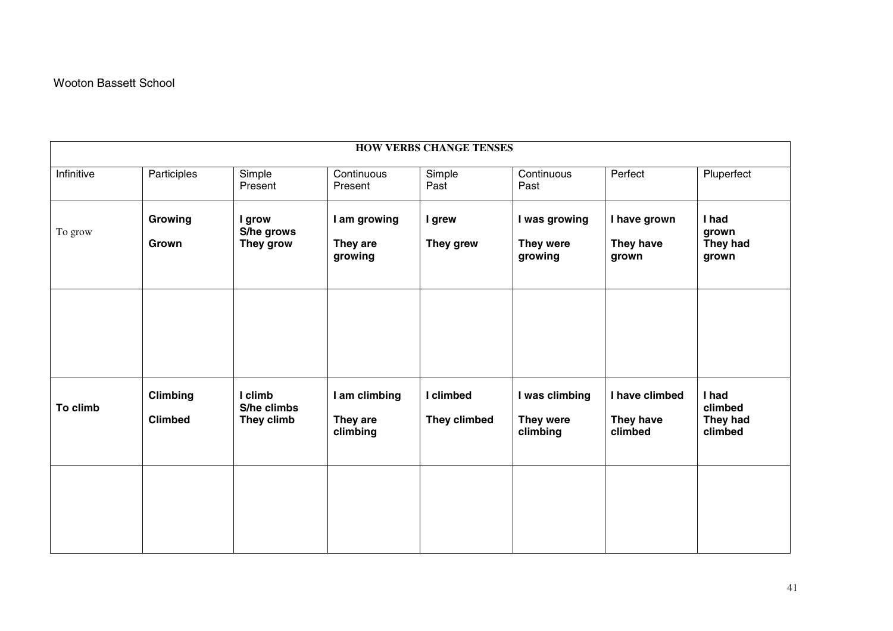| <b>HOW VERBS CHANGE TENSES</b> |                                   |                                      |                                       |                           |                                         |                                        |                                         |
|--------------------------------|-----------------------------------|--------------------------------------|---------------------------------------|---------------------------|-----------------------------------------|----------------------------------------|-----------------------------------------|
| Infinitive                     | Participles                       | Simple<br>Present                    | Continuous<br>Present                 | Simple<br>Past            | Continuous<br>Past                      | Perfect                                | Pluperfect                              |
| To grow                        | Growing<br>Grown                  | I grow<br>S/he grows<br>They grow    | I am growing<br>They are<br>growing   | I grew<br>They grew       | I was growing<br>They were<br>growing   | I have grown<br>They have<br>grown     | I had<br>grown<br>They had<br>grown     |
|                                |                                   |                                      |                                       |                           |                                         |                                        |                                         |
| To climb                       | <b>Climbing</b><br><b>Climbed</b> | I climb<br>S/he climbs<br>They climb | I am climbing<br>They are<br>climbing | I climbed<br>They climbed | I was climbing<br>They were<br>climbing | I have climbed<br>They have<br>climbed | I had<br>climbed<br>They had<br>climbed |
|                                |                                   |                                      |                                       |                           |                                         |                                        |                                         |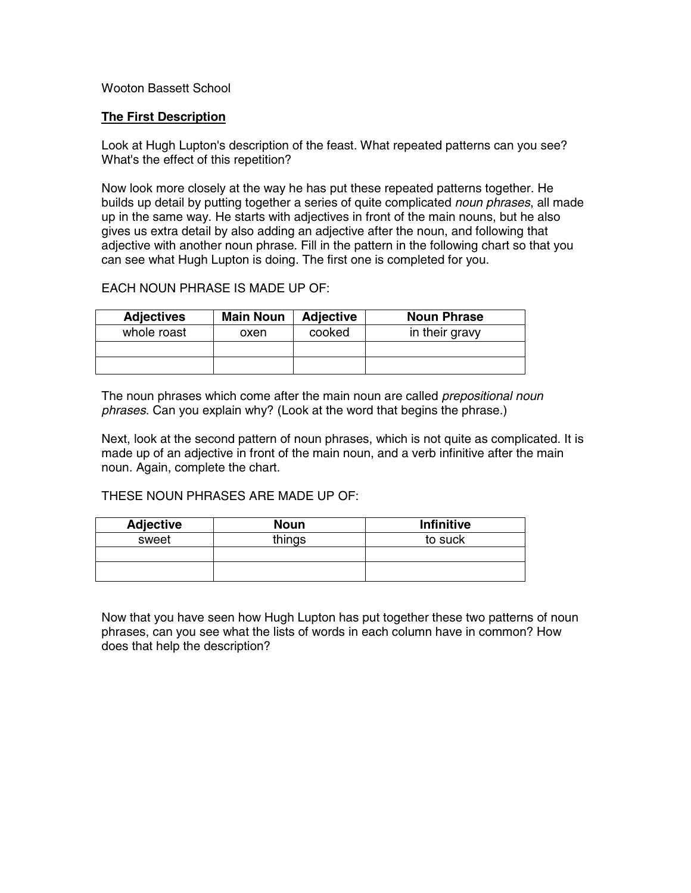#### Wooton Bassett School

#### **The First Description**

Look at Hugh Lupton's description of the feast. What repeated patterns can you see? What's the effect of this repetition?

Now look more closely at the way he has put these repeated patterns together. He builds up detail by putting together a series of quite complicated *noun phrases*, all made up in the same way. He starts with adjectives in front of the main nouns, but he also gives us extra detail by also adding an adjective after the noun, and following that adjective with another noun phrase. Fill in the pattern in the following chart so that you can see what Hugh Lupton is doing. The first one is completed for you.

#### EACH NOUN PHRASE IS MADE UP OF:

| <b>Adjectives</b> | <b>Main Noun</b> | <b>Adjective</b> | <b>Noun Phrase</b> |
|-------------------|------------------|------------------|--------------------|
| whole roast       | oxen             | cooked           | in their gravy     |
|                   |                  |                  |                    |
|                   |                  |                  |                    |

The noun phrases which come after the main noun are called *prepositional noun phrases*. Can you explain why? (Look at the word that begins the phrase.)

Next, look at the second pattern of noun phrases, which is not quite as complicated. It is made up of an adjective in front of the main noun, and a verb infinitive after the main noun. Again, complete the chart.

#### THESE NOUN PHRASES ARE MADE UP OF:

| <b>Adjective</b> | <b>Noun</b> | <b>Infinitive</b> |
|------------------|-------------|-------------------|
| sweet            | things      | to suck           |
|                  |             |                   |
|                  |             |                   |

Now that you have seen how Hugh Lupton has put together these two patterns of noun phrases, can you see what the lists of words in each column have in common? How does that help the description?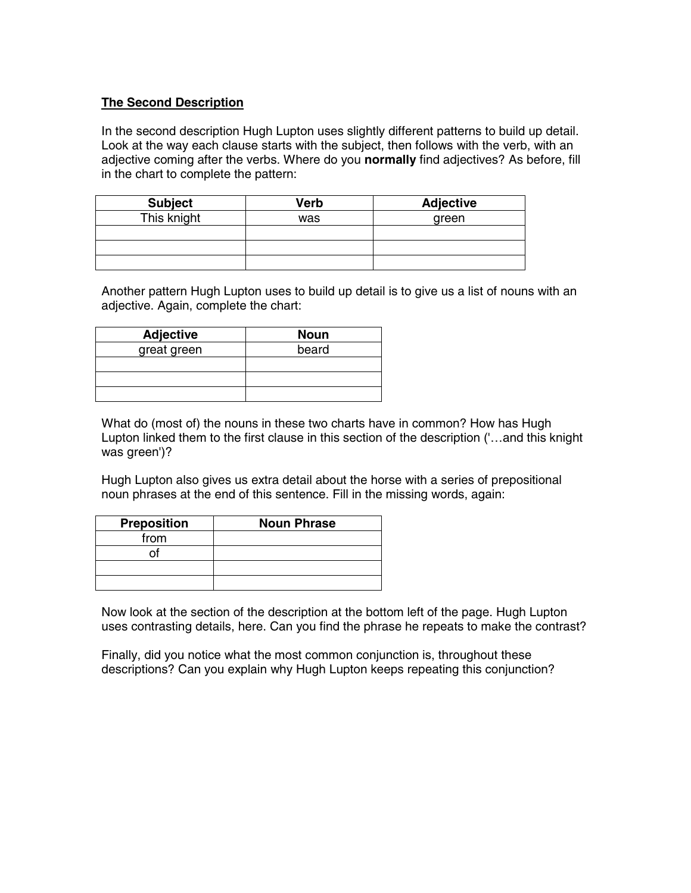#### **The Second Description**

In the second description Hugh Lupton uses slightly different patterns to build up detail. Look at the way each clause starts with the subject, then follows with the verb, with an adjective coming after the verbs. Where do you **normally** find adjectives? As before, fill in the chart to complete the pattern:

| <b>Subject</b> | Verb | <b>Adjective</b> |
|----------------|------|------------------|
| This knight    | was  | green            |
|                |      |                  |
|                |      |                  |
|                |      |                  |

Another pattern Hugh Lupton uses to build up detail is to give us a list of nouns with an adjective. Again, complete the chart:

| <b>Adjective</b> | <b>Noun</b> |
|------------------|-------------|
| great green      | beard       |
|                  |             |
|                  |             |
|                  |             |

What do (most of) the nouns in these two charts have in common? How has Hugh Lupton linked them to the first clause in this section of the description ('…and this knight was green')?

Hugh Lupton also gives us extra detail about the horse with a series of prepositional noun phrases at the end of this sentence. Fill in the missing words, again:

| <b>Preposition</b> | <b>Noun Phrase</b> |
|--------------------|--------------------|
| from               |                    |
|                    |                    |
|                    |                    |
|                    |                    |

Now look at the section of the description at the bottom left of the page. Hugh Lupton uses contrasting details, here. Can you find the phrase he repeats to make the contrast?

Finally, did you notice what the most common conjunction is, throughout these descriptions? Can you explain why Hugh Lupton keeps repeating this conjunction?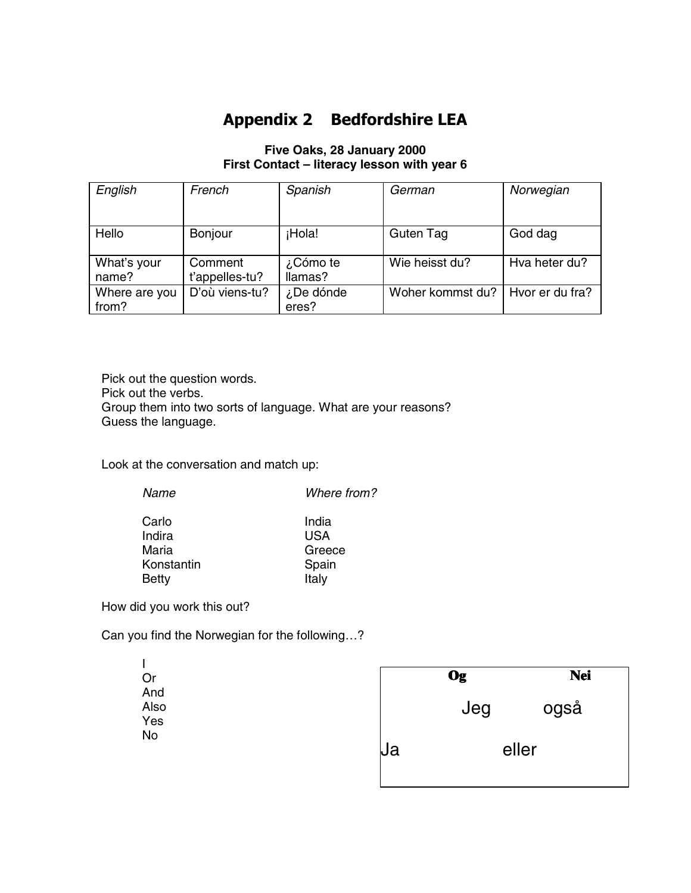## **Appendix 2 Bedfordshire LEA**

### **Five Oaks, 28 January 2000 First Contact – literacy lesson with year 6**

| English                | French                    | Spanish             | German           | Norwegian       |
|------------------------|---------------------------|---------------------|------------------|-----------------|
| Hello                  | Bonjour                   | ¡Hola!              | Guten Tag        | God dag         |
| What's your<br>name?   | Comment<br>t'appelles-tu? | ¿Cómo te<br>llamas? | Wie heisst du?   | Hva heter du?   |
| Where are you<br>from? | D'où viens-tu?            | ¿De dónde<br>eres?  | Woher kommst du? | Hyor er du fra? |

Pick out the question words. Pick out the verbs. Group them into two sorts of language. What are your reasons? Guess the language.

Look at the conversation and match up:

| Name         | Where from? |
|--------------|-------------|
| Carlo        | India       |
| Indira       | USA         |
| Maria        | Greece      |
| Konstantin   | Spain       |
| <b>Betty</b> | Italy       |
|              |             |

How did you work this out?

 $\mathbf{I}$ Or And Also Yes No

Can you find the Norwegian for the following…?

|    | Og  | <b>Nei</b> |
|----|-----|------------|
|    | Jeg | også       |
| μa |     | eller      |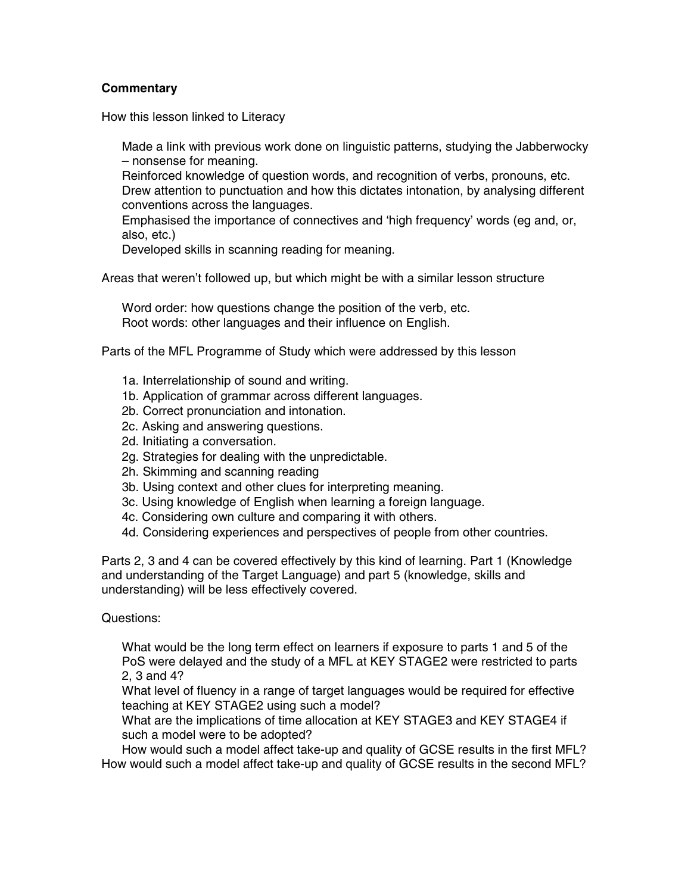#### **Commentary**

How this lesson linked to Literacy

 Made a link with previous work done on linguistic patterns, studying the Jabberwocky – nonsense for meaning.

 Reinforced knowledge of question words, and recognition of verbs, pronouns, etc. Drew attention to punctuation and how this dictates intonation, by analysing different conventions across the languages.

 Emphasised the importance of connectives and 'high frequency' words (eg and, or, also, etc.)

Developed skills in scanning reading for meaning.

Areas that weren't followed up, but which might be with a similar lesson structure

 Word order: how questions change the position of the verb, etc. Root words: other languages and their influence on English.

Parts of the MFL Programme of Study which were addressed by this lesson

- 1a. Interrelationship of sound and writing.
- 1b. Application of grammar across different languages.
- 2b. Correct pronunciation and intonation.
- 2c. Asking and answering questions.
- 2d. Initiating a conversation.
- 2g. Strategies for dealing with the unpredictable.
- 2h. Skimming and scanning reading
- 3b. Using context and other clues for interpreting meaning.
- 3c. Using knowledge of English when learning a foreign language.
- 4c. Considering own culture and comparing it with others.
- 4d. Considering experiences and perspectives of people from other countries.

Parts 2, 3 and 4 can be covered effectively by this kind of learning. Part 1 (Knowledge and understanding of the Target Language) and part 5 (knowledge, skills and understanding) will be less effectively covered.

Questions:

 What would be the long term effect on learners if exposure to parts 1 and 5 of the PoS were delayed and the study of a MFL at KEY STAGE2 were restricted to parts 2, 3 and 4?

 What level of fluency in a range of target languages would be required for effective teaching at KEY STAGE2 using such a model?

 What are the implications of time allocation at KEY STAGE3 and KEY STAGE4 if such a model were to be adopted?

 How would such a model affect take-up and quality of GCSE results in the first MFL? How would such a model affect take-up and quality of GCSE results in the second MFL?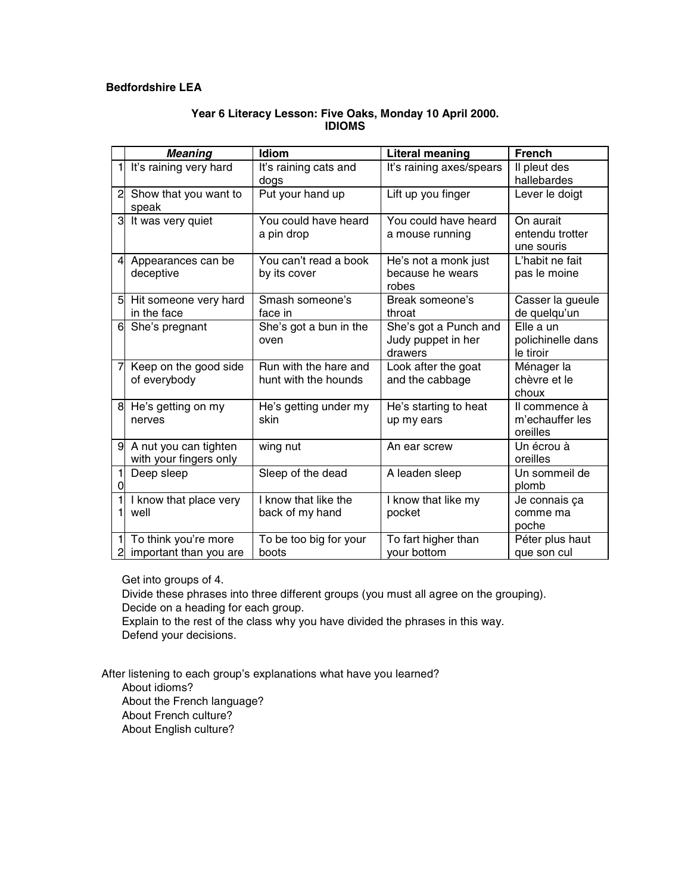#### **Bedfordshire LEA**

#### **Year 6 Literacy Lesson: Five Oaks, Monday 10 April 2000. IDIOMS**

|                | <b>Meaning</b>         | <b>Idiom</b>           | <b>Literal meaning</b>   | <b>French</b>     |
|----------------|------------------------|------------------------|--------------------------|-------------------|
|                | It's raining very hard | It's raining cats and  | It's raining axes/spears | Il pleut des      |
|                |                        | dogs                   |                          | hallebardes       |
| $\overline{c}$ | Show that you want to  | Put your hand up       | Lift up you finger       | Lever le doigt    |
|                | speak                  |                        |                          |                   |
| 3              | It was very quiet      | You could have heard   | You could have heard     | On aurait         |
|                |                        | a pin drop             | a mouse running          | entendu trotter   |
|                |                        |                        |                          | une souris        |
| 4              | Appearances can be     | You can't read a book  | He's not a monk just     | L'habit ne fait   |
|                | deceptive              | by its cover           | because he wears         | pas le moine      |
|                |                        |                        | robes                    |                   |
| 5 <sup>1</sup> | Hit someone very hard  | Smash someone's        | Break someone's          | Casser la gueule  |
|                | in the face            | face in                | throat                   | de quelqu'un      |
| 6              | She's pregnant         | She's got a bun in the | She's got a Punch and    | Elle a un         |
|                |                        | oven                   | Judy puppet in her       | polichinelle dans |
|                |                        |                        | drawers                  | le tiroir         |
|                | Keep on the good side  | Run with the hare and  | Look after the goat      | Ménager la        |
|                | of everybody           | hunt with the hounds   | and the cabbage          | chèvre et le      |
|                |                        |                        |                          | choux             |
| 8              | He's getting on my     | He's getting under my  | He's starting to heat    | Il commence à     |
|                | nerves                 | skin                   | up my ears               | m'echauffer les   |
|                |                        |                        |                          | oreilles          |
| 9              | A nut you can tighten  | wing nut               | An ear screw             | Un écrou à        |
|                | with your fingers only |                        |                          | oreilles          |
|                | Deep sleep             | Sleep of the dead      | A leaden sleep           | Un sommeil de     |
|                |                        |                        |                          | plomb             |
|                | I know that place very | I know that like the   | I know that like my      | Je connais ça     |
|                | well                   | back of my hand        | pocket                   | comme ma          |
|                |                        |                        |                          | poche             |
|                | To think you're more   | To be too big for your | To fart higher than      | Péter plus haut   |
|                | important than you are | boots                  | vour bottom              | que son cul       |

Get into groups of 4.

 Divide these phrases into three different groups (you must all agree on the grouping). Decide on a heading for each group.

 Explain to the rest of the class why you have divided the phrases in this way. Defend your decisions.

After listening to each group's explanations what have you learned? About idioms?

 About the French language? About French culture?

About English culture?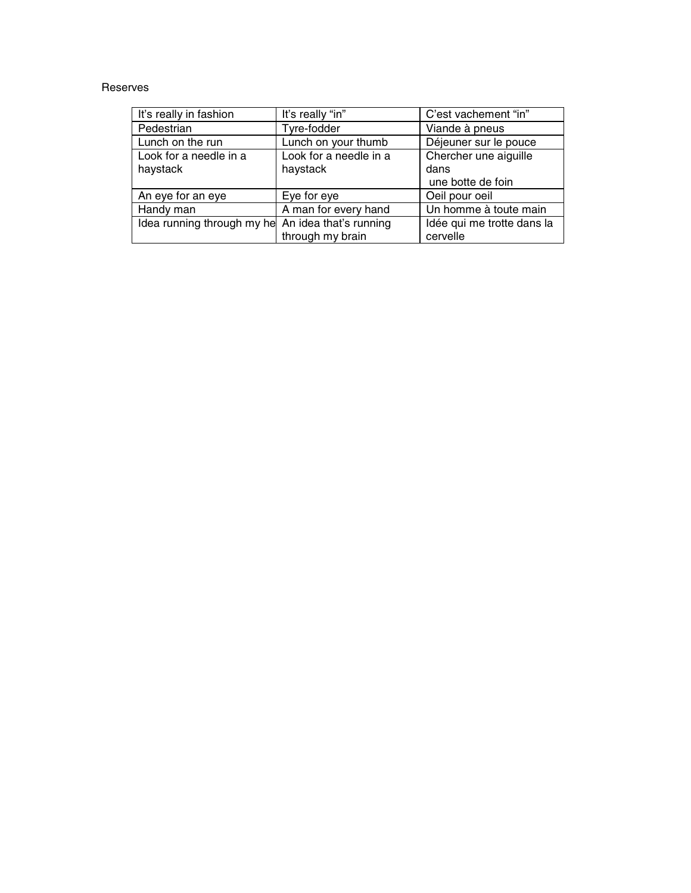#### Reserves

| It's really in fashion                            | It's really "in"       | C'est vachement "in"       |
|---------------------------------------------------|------------------------|----------------------------|
| Pedestrian                                        | Tyre-fodder            | Viande à pneus             |
| Lunch on the run                                  | Lunch on your thumb    | Déjeuner sur le pouce      |
| Look for a needle in a                            | Look for a needle in a | Chercher une aiguille      |
| haystack                                          | haystack               | dans                       |
|                                                   |                        | une botte de foin          |
| An eye for an eye                                 | Eye for eye            | Oeil pour oeil             |
| Handy man                                         | A man for every hand   | Un homme à toute main      |
| Idea running through my he An idea that's running |                        | Idée qui me trotte dans la |
|                                                   | through my brain       | cervelle                   |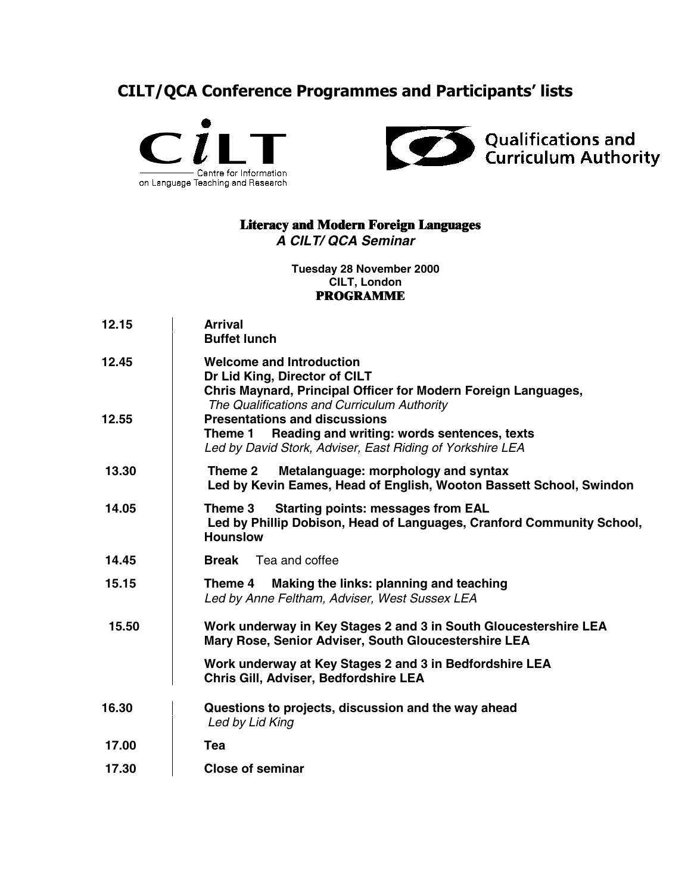## **CILT/QCA Conference Programmes and Participants' lists**





## **Literacy and Modern Foreign Languages**

*A CILT/ QCA Seminar*

#### **Tuesday 28 November 2000 CILT, London PROGRAMME**

| 12.15 | <b>Arrival</b><br><b>Buffet lunch</b>                                                                                                                                             |
|-------|-----------------------------------------------------------------------------------------------------------------------------------------------------------------------------------|
| 12.45 | <b>Welcome and Introduction</b><br>Dr Lid King, Director of CILT<br>Chris Maynard, Principal Officer for Modern Foreign Languages,<br>The Qualifications and Curriculum Authority |
| 12.55 | <b>Presentations and discussions</b><br>Reading and writing: words sentences, texts<br>Theme 1<br>Led by David Stork, Adviser, East Riding of Yorkshire LEA                       |
| 13.30 | Metalanguage: morphology and syntax<br>Theme 2<br>Led by Kevin Eames, Head of English, Wooton Bassett School, Swindon                                                             |
| 14.05 | <b>Starting points: messages from EAL</b><br>Theme 3<br>Led by Phillip Dobison, Head of Languages, Cranford Community School,<br><b>Hounslow</b>                                  |
| 14.45 | Tea and coffee<br><b>Break</b>                                                                                                                                                    |
| 15.15 | Making the links: planning and teaching<br>Theme 4<br>Led by Anne Feltham, Adviser, West Sussex LEA                                                                               |
| 15.50 | Work underway in Key Stages 2 and 3 in South Gloucestershire LEA<br>Mary Rose, Senior Adviser, South Gloucestershire LEA                                                          |
|       | Work underway at Key Stages 2 and 3 in Bedfordshire LEA<br>Chris Gill, Adviser, Bedfordshire LEA                                                                                  |
| 16.30 | Questions to projects, discussion and the way ahead<br>Led by Lid King                                                                                                            |
| 17.00 | Tea                                                                                                                                                                               |
| 17.30 | <b>Close of seminar</b>                                                                                                                                                           |
|       |                                                                                                                                                                                   |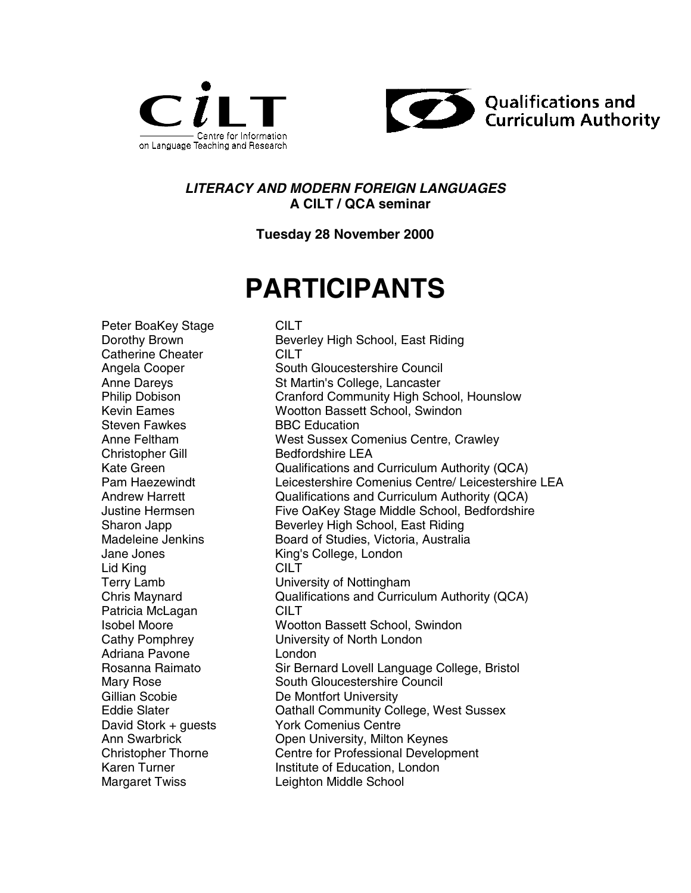



### *LITERACY AND MODERN FOREIGN LANGUAGES* **A CILT / QCA seminar**

**Tuesday 28 November 2000**

# **PARTICIPANTS**

Peter BoaKey Stage CILT Catherine Cheater **CILT** Steven Fawkes BBC Education Christopher Gill Bedfordshire LEA Lid King **CILT** Patricia McLagan CILT Adriana Pavone London Margaret Twiss Leighton Middle School

Dorothy Brown **Beverley High School, East Riding** Angela Cooper South Gloucestershire Council Anne Dareys St Martin's College, Lancaster Philip Dobison Cranford Community High School, Hounslow Kevin Eames Wootton Bassett School, Swindon Anne Feltham West Sussex Comenius Centre, Crawley Kate Green Qualifications and Curriculum Authority (QCA) Pam Haezewindt **Leicestershire Comenius Centre/ Leicestershire LEA**<br>Andrew Harrett **Andrew Cualifications and Curriculum Authority (QCA**) Qualifications and Curriculum Authority (QCA) Justine Hermsen Five OaKey Stage Middle School, Bedfordshire Sharon Japp Beverley High School, East Riding Madeleine Jenkins **Board of Studies, Victoria, Australia** Jane Jones King's College, London Terry Lamb University of Nottingham Chris Maynard Qualifications and Curriculum Authority (QCA) Isobel Moore Wootton Bassett School, Swindon Cathy Pomphrey University of North London Rosanna Raimato **Sir Bernard Lovell Language College, Bristol** Mary Rose South Gloucestershire Council Gillian Scobie De Montfort University Eddie Slater **Cathall Community College, West Sussex** David Stork + guests York Comenius Centre Ann Swarbrick Open University, Milton Keynes Christopher Thorne Centre for Professional Development Karen Turner **Institute of Education, London**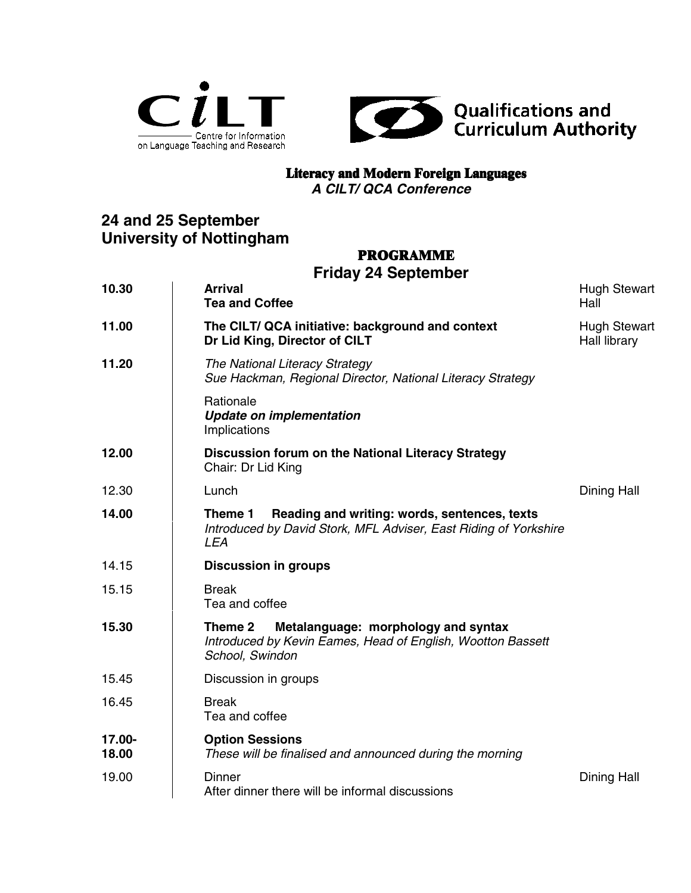



### **Literacy and Modern Foreign Languages**

*A CILT/ QCA Conference*

## **24 and 25 September University of Nottingham**

## **PROGRAMME**

## **Friday 24 September**

| 10.30           | <b>Arrival</b><br><b>Tea and Coffee</b>                                                                                                   | <b>Hugh Stewart</b><br>Hall         |
|-----------------|-------------------------------------------------------------------------------------------------------------------------------------------|-------------------------------------|
| 11.00           | The CILT/ QCA initiative: background and context<br>Dr Lid King, Director of CILT                                                         | <b>Hugh Stewart</b><br>Hall library |
| 11.20           | The National Literacy Strategy<br>Sue Hackman, Regional Director, National Literacy Strategy                                              |                                     |
|                 | Rationale<br><b>Update on implementation</b><br>Implications                                                                              |                                     |
| 12.00           | Discussion forum on the National Literacy Strategy<br>Chair: Dr Lid King                                                                  |                                     |
| 12.30           | Lunch                                                                                                                                     | Dining Hall                         |
| 14.00           | Reading and writing: words, sentences, texts<br>Theme 1<br>Introduced by David Stork, MFL Adviser, East Riding of Yorkshire<br><b>LEA</b> |                                     |
| 14.15           | <b>Discussion in groups</b>                                                                                                               |                                     |
| 15.15           | <b>Break</b><br>Tea and coffee                                                                                                            |                                     |
| 15.30           | Metalanguage: morphology and syntax<br>Theme 2<br>Introduced by Kevin Eames, Head of English, Wootton Bassett<br>School, Swindon          |                                     |
| 15.45           | Discussion in groups                                                                                                                      |                                     |
| 16.45           | <b>Break</b><br>Tea and coffee                                                                                                            |                                     |
| 17.00-<br>18.00 | <b>Option Sessions</b><br>These will be finalised and announced during the morning                                                        |                                     |
| 19.00           | <b>Dinner</b><br>After dinner there will be informal discussions                                                                          | Dining Hall                         |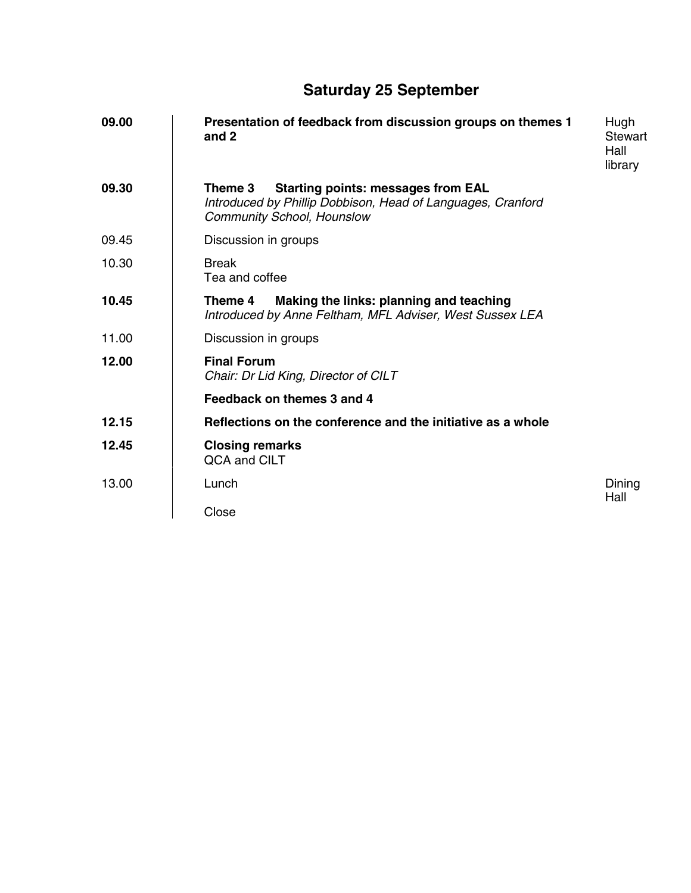## **Saturday 25 September**

| 09.00 | Presentation of feedback from discussion groups on themes 1<br>and 2                                                                                     | Hugh<br>Stewart<br>Hall<br>library |
|-------|----------------------------------------------------------------------------------------------------------------------------------------------------------|------------------------------------|
| 09.30 | <b>Starting points: messages from EAL</b><br>Theme 3<br>Introduced by Phillip Dobbison, Head of Languages, Cranford<br><b>Community School, Hounslow</b> |                                    |
| 09.45 | Discussion in groups                                                                                                                                     |                                    |
| 10.30 | <b>Break</b><br>Tea and coffee                                                                                                                           |                                    |
| 10.45 | Making the links: planning and teaching<br>Theme 4<br>Introduced by Anne Feltham, MFL Adviser, West Sussex LEA                                           |                                    |
| 11.00 | Discussion in groups                                                                                                                                     |                                    |
| 12.00 | <b>Final Forum</b><br>Chair: Dr Lid King, Director of CILT                                                                                               |                                    |
|       | Feedback on themes 3 and 4                                                                                                                               |                                    |
| 12.15 | Reflections on the conference and the initiative as a whole                                                                                              |                                    |
| 12.45 | <b>Closing remarks</b><br>QCA and CILT                                                                                                                   |                                    |
| 13.00 | Lunch                                                                                                                                                    | Dining<br>Hall                     |
|       | Close                                                                                                                                                    |                                    |